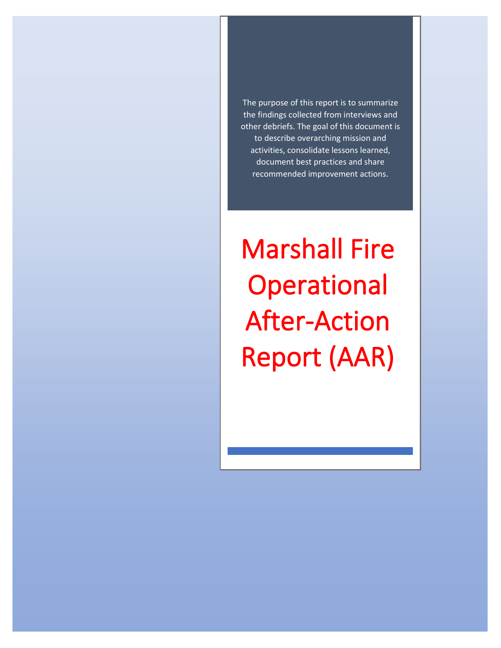The purpose of this report is to summarize the findings collected from interviews and other debriefs. The goal of this document is to describe overarching mission and activities, consolidate lessons learned, document best practices and share recommended improvement actions.

Marshall Fire **Operational** After-Action Report (AAR)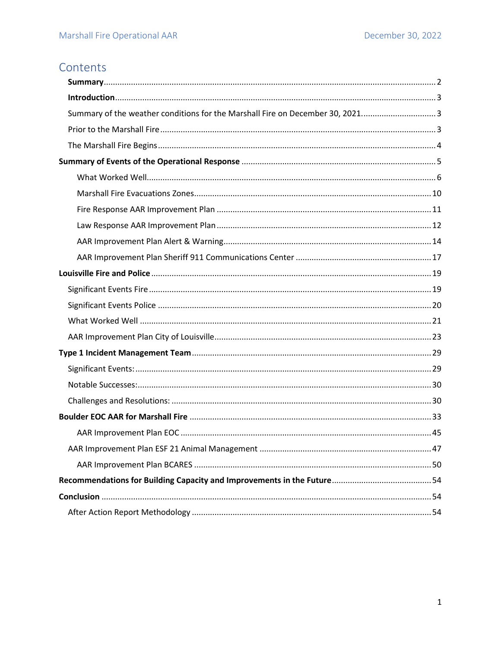## Contents

| Summary of the weather conditions for the Marshall Fire on December 30, 2021 3 |  |
|--------------------------------------------------------------------------------|--|
|                                                                                |  |
|                                                                                |  |
|                                                                                |  |
|                                                                                |  |
|                                                                                |  |
|                                                                                |  |
|                                                                                |  |
|                                                                                |  |
|                                                                                |  |
|                                                                                |  |
|                                                                                |  |
|                                                                                |  |
|                                                                                |  |
|                                                                                |  |
|                                                                                |  |
|                                                                                |  |
|                                                                                |  |
|                                                                                |  |
|                                                                                |  |
|                                                                                |  |
|                                                                                |  |
|                                                                                |  |
|                                                                                |  |
|                                                                                |  |
|                                                                                |  |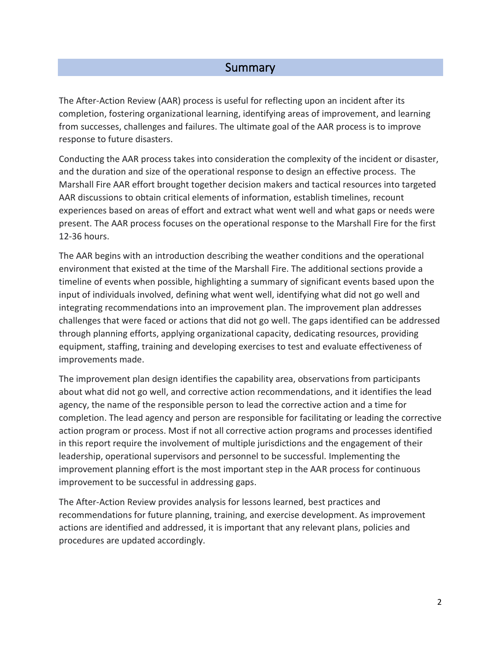### **Summary**

<span id="page-2-0"></span>The After-Action Review (AAR) process is useful for reflecting upon an incident after its completion, fostering organizational learning, identifying areas of improvement, and learning from successes, challenges and failures. The ultimate goal of the AAR process is to improve response to future disasters.

Conducting the AAR process takes into consideration the complexity of the incident or disaster, and the duration and size of the operational response to design an effective process. The Marshall Fire AAR effort brought together decision makers and tactical resources into targeted AAR discussions to obtain critical elements of information, establish timelines, recount experiences based on areas of effort and extract what went well and what gaps or needs were present. The AAR process focuses on the operational response to the Marshall Fire for the first 12-36 hours.

The AAR begins with an introduction describing the weather conditions and the operational environment that existed at the time of the Marshall Fire. The additional sections provide a timeline of events when possible, highlighting a summary of significant events based upon the input of individuals involved, defining what went well, identifying what did not go well and integrating recommendations into an improvement plan. The improvement plan addresses challenges that were faced or actions that did not go well. The gaps identified can be addressed through planning efforts, applying organizational capacity, dedicating resources, providing equipment, staffing, training and developing exercises to test and evaluate effectiveness of improvements made.

The improvement plan design identifies the capability area, observations from participants about what did not go well, and corrective action recommendations, and it identifies the lead agency, the name of the responsible person to lead the corrective action and a time for completion. The lead agency and person are responsible for facilitating or leading the corrective action program or process. Most if not all corrective action programs and processes identified in this report require the involvement of multiple jurisdictions and the engagement of their leadership, operational supervisors and personnel to be successful. Implementing the improvement planning effort is the most important step in the AAR process for continuous improvement to be successful in addressing gaps.

The After-Action Review provides analysis for lessons learned, best practices and recommendations for future planning, training, and exercise development. As improvement actions are identified and addressed, it is important that any relevant plans, policies and procedures are updated accordingly.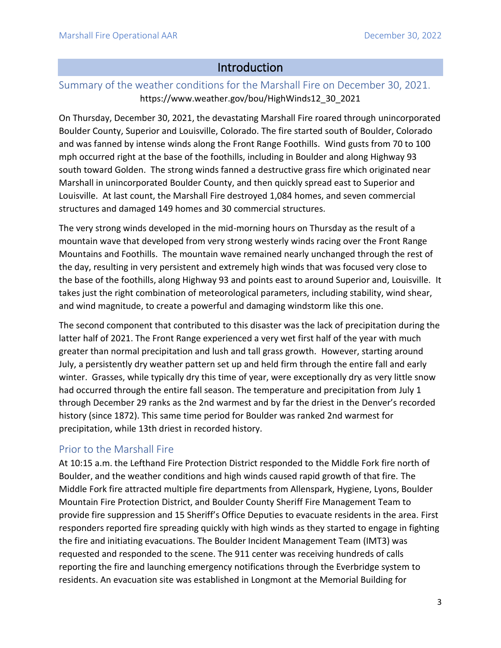### Introduction

### <span id="page-3-1"></span><span id="page-3-0"></span>Summary of the weather conditions for the Marshall Fire on December 30, 2021. https://www.weather.gov/bou/HighWinds12\_30\_2021

On Thursday, December 30, 2021, the devastating Marshall Fire roared through unincorporated Boulder County, Superior and Louisville, Colorado. The fire started south of Boulder, Colorado and was fanned by intense winds along the Front Range Foothills. Wind gusts from 70 to 100 mph occurred right at the base of the foothills, including in Boulder and along Highway 93 south toward Golden. The strong winds fanned a destructive grass fire which originated near Marshall in unincorporated Boulder County, and then quickly spread east to Superior and Louisville. At last count, the Marshall Fire destroyed 1,084 homes, and seven commercial structures and damaged 149 homes and 30 commercial structures.

The very strong winds developed in the mid-morning hours on Thursday as the result of a mountain wave that developed from very strong westerly winds racing over the Front Range Mountains and Foothills. The mountain wave remained nearly unchanged through the rest of the day, resulting in very persistent and extremely high winds that was focused very close to the base of the foothills, along Highway 93 and points east to around Superior and, Louisville. It takes just the right combination of meteorological parameters, including stability, wind shear, and wind magnitude, to create a powerful and damaging windstorm like this one.

The second component that contributed to this disaster was the lack of precipitation during the latter half of 2021. The Front Range experienced a very wet first half of the year with much greater than normal precipitation and lush and tall grass growth. However, starting around July, a persistently dry weather pattern set up and held firm through the entire fall and early winter. Grasses, while typically dry this time of year, were exceptionally dry as very little snow had occurred through the entire fall season. The temperature and precipitation from July 1 through December 29 ranks as the 2nd warmest and by far the driest in the Denver's recorded history (since 1872). This same time period for Boulder was ranked 2nd warmest for precipitation, while 13th driest in recorded history.

### <span id="page-3-2"></span>Prior to the Marshall Fire

At 10:15 a.m. the Lefthand Fire Protection District responded to the Middle Fork fire north of Boulder, and the weather conditions and high winds caused rapid growth of that fire. The Middle Fork fire attracted multiple fire departments from Allenspark, Hygiene, Lyons, Boulder Mountain Fire Protection District, and Boulder County Sheriff Fire Management Team to provide fire suppression and 15 Sheriff's Office Deputies to evacuate residents in the area. First responders reported fire spreading quickly with high winds as they started to engage in fighting the fire and initiating evacuations. The Boulder Incident Management Team (IMT3) was requested and responded to the scene. The 911 center was receiving hundreds of calls reporting the fire and launching emergency notifications through the Everbridge system to residents. An evacuation site was established in Longmont at the Memorial Building for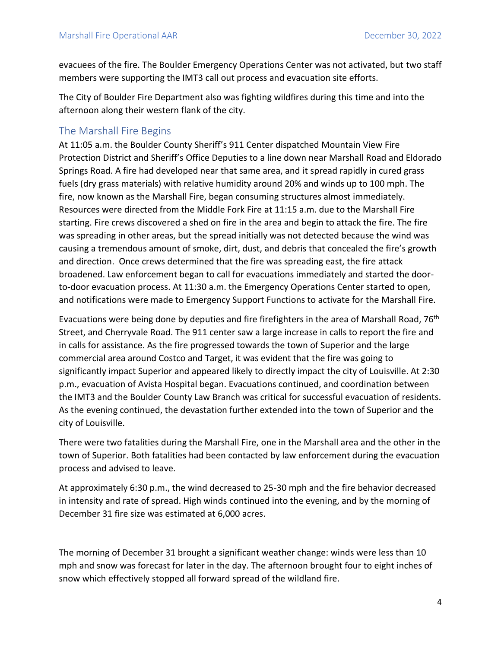evacuees of the fire. The Boulder Emergency Operations Center was not activated, but two staff members were supporting the IMT3 call out process and evacuation site efforts.

The City of Boulder Fire Department also was fighting wildfires during this time and into the afternoon along their western flank of the city.

#### <span id="page-4-0"></span>The Marshall Fire Begins

At 11:05 a.m. the Boulder County Sheriff's 911 Center dispatched Mountain View Fire Protection District and Sheriff's Office Deputies to a line down near Marshall Road and Eldorado Springs Road. A fire had developed near that same area, and it spread rapidly in cured grass fuels (dry grass materials) with relative humidity around 20% and winds up to 100 mph. The fire, now known as the Marshall Fire, began consuming structures almost immediately. Resources were directed from the Middle Fork Fire at 11:15 a.m. due to the Marshall Fire starting. Fire crews discovered a shed on fire in the area and begin to attack the fire. The fire was spreading in other areas, but the spread initially was not detected because the wind was causing a tremendous amount of smoke, dirt, dust, and debris that concealed the fire's growth and direction. Once crews determined that the fire was spreading east, the fire attack broadened. Law enforcement began to call for evacuations immediately and started the doorto-door evacuation process. At 11:30 a.m. the Emergency Operations Center started to open, and notifications were made to Emergency Support Functions to activate for the Marshall Fire.

Evacuations were being done by deputies and fire firefighters in the area of Marshall Road, 76<sup>th</sup> Street, and Cherryvale Road. The 911 center saw a large increase in calls to report the fire and in calls for assistance. As the fire progressed towards the town of Superior and the large commercial area around Costco and Target, it was evident that the fire was going to significantly impact Superior and appeared likely to directly impact the city of Louisville. At 2:30 p.m., evacuation of Avista Hospital began. Evacuations continued, and coordination between the IMT3 and the Boulder County Law Branch was critical for successful evacuation of residents. As the evening continued, the devastation further extended into the town of Superior and the city of Louisville.

There were two fatalities during the Marshall Fire, one in the Marshall area and the other in the town of Superior. Both fatalities had been contacted by law enforcement during the evacuation process and advised to leave.

At approximately 6:30 p.m., the wind decreased to 25-30 mph and the fire behavior decreased in intensity and rate of spread. High winds continued into the evening, and by the morning of December 31 fire size was estimated at 6,000 acres.

The morning of December 31 brought a significant weather change: winds were less than 10 mph and snow was forecast for later in the day. The afternoon brought four to eight inches of snow which effectively stopped all forward spread of the wildland fire.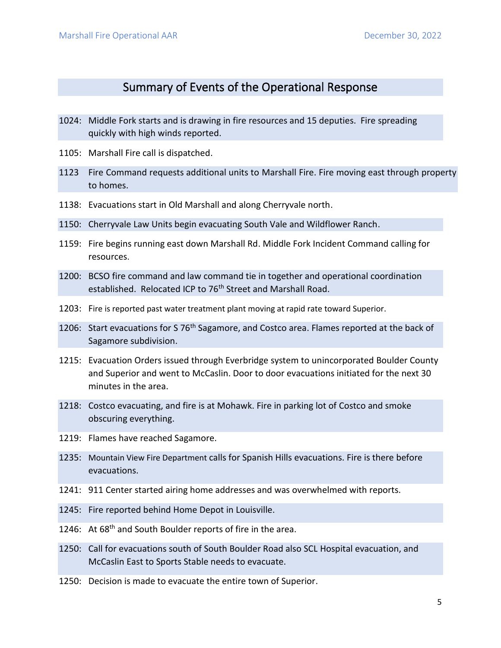### Summary of Events of the Operational Response

- <span id="page-5-0"></span>1024: Middle Fork starts and is drawing in fire resources and 15 deputies. Fire spreading quickly with high winds reported.
- 1105: Marshall Fire call is dispatched.
- 1123 Fire Command requests additional units to Marshall Fire. Fire moving east through property to homes.
- 1138: Evacuations start in Old Marshall and along Cherryvale north.
- 1150: Cherryvale Law Units begin evacuating South Vale and Wildflower Ranch.
- 1159: Fire begins running east down Marshall Rd. Middle Fork Incident Command calling for resources.
- 1200: BCSO fire command and law command tie in together and operational coordination established. Relocated ICP to 76<sup>th</sup> Street and Marshall Road.
- 1203: Fire is reported past water treatment plant moving at rapid rate toward Superior.
- 1206: Start evacuations for S 76<sup>th</sup> Sagamore, and Costco area. Flames reported at the back of Sagamore subdivision.
- 1215: Evacuation Orders issued through Everbridge system to unincorporated Boulder County and Superior and went to McCaslin. Door to door evacuations initiated for the next 30 minutes in the area.
- 1218: Costco evacuating, and fire is at Mohawk. Fire in parking lot of Costco and smoke obscuring everything.
- 1219: Flames have reached Sagamore.
- 1235: Mountain View Fire Department calls for Spanish Hills evacuations. Fire is there before evacuations.
- 1241: 911 Center started airing home addresses and was overwhelmed with reports.
- 1245: Fire reported behind Home Depot in Louisville.
- 1246: At 68<sup>th</sup> and South Boulder reports of fire in the area.
- 1250: Call for evacuations south of South Boulder Road also SCL Hospital evacuation, and McCaslin East to Sports Stable needs to evacuate.
- 1250: Decision is made to evacuate the entire town of Superior.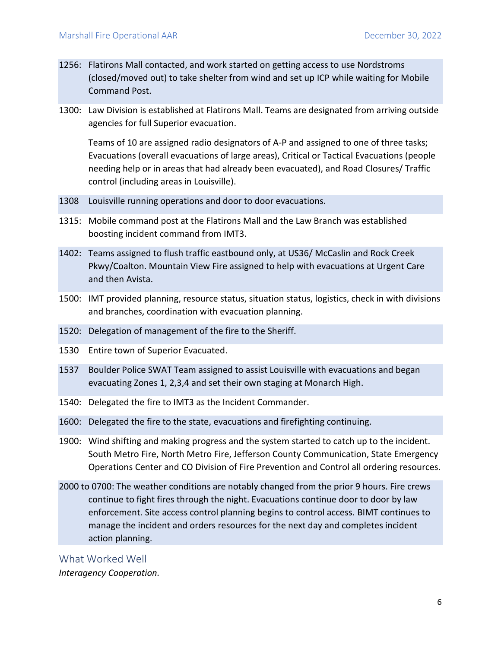- 1256: Flatirons Mall contacted, and work started on getting access to use Nordstroms (closed/moved out) to take shelter from wind and set up ICP while waiting for Mobile Command Post.
- 1300: Law Division is established at Flatirons Mall. Teams are designated from arriving outside agencies for full Superior evacuation.

Teams of 10 are assigned radio designators of A-P and assigned to one of three tasks; Evacuations (overall evacuations of large areas), Critical or Tactical Evacuations (people needing help or in areas that had already been evacuated), and Road Closures/ Traffic control (including areas in Louisville).

- 1308 Louisville running operations and door to door evacuations.
- 1315: Mobile command post at the Flatirons Mall and the Law Branch was established boosting incident command from IMT3.
- 1402: Teams assigned to flush traffic eastbound only, at US36/ McCaslin and Rock Creek Pkwy/Coalton. Mountain View Fire assigned to help with evacuations at Urgent Care and then Avista.
- 1500: IMT provided planning, resource status, situation status, logistics, check in with divisions and branches, coordination with evacuation planning.
- 1520: Delegation of management of the fire to the Sheriff.
- 1530 Entire town of Superior Evacuated.
- 1537 Boulder Police SWAT Team assigned to assist Louisville with evacuations and began evacuating Zones 1, 2,3,4 and set their own staging at Monarch High.
- 1540: Delegated the fire to IMT3 as the Incident Commander.
- 1600: Delegated the fire to the state, evacuations and firefighting continuing.
- 1900: Wind shifting and making progress and the system started to catch up to the incident. South Metro Fire, North Metro Fire, Jefferson County Communication, State Emergency Operations Center and CO Division of Fire Prevention and Control all ordering resources.
- 2000 to 0700: The weather conditions are notably changed from the prior 9 hours. Fire crews continue to fight fires through the night. Evacuations continue door to door by law enforcement. Site access control planning begins to control access. BIMT continues to manage the incident and orders resources for the next day and completes incident action planning.

<span id="page-6-0"></span>What Worked Well *Interagency Cooperation.*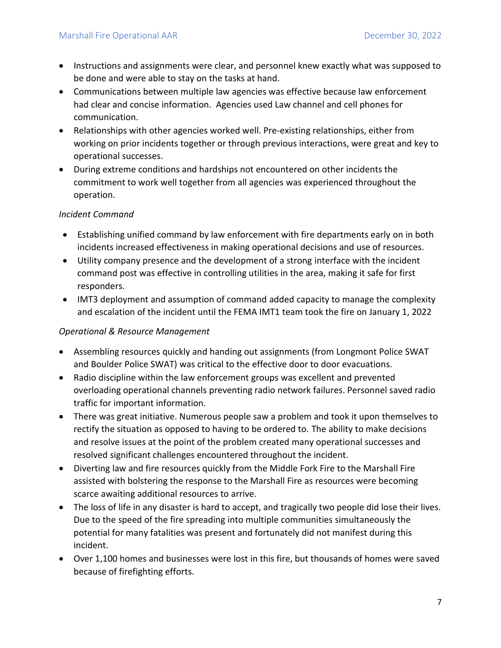- Instructions and assignments were clear, and personnel knew exactly what was supposed to be done and were able to stay on the tasks at hand.
- Communications between multiple law agencies was effective because law enforcement had clear and concise information. Agencies used Law channel and cell phones for communication.
- Relationships with other agencies worked well. Pre-existing relationships, either from working on prior incidents together or through previous interactions, were great and key to operational successes.
- During extreme conditions and hardships not encountered on other incidents the commitment to work well together from all agencies was experienced throughout the operation.

#### *Incident Command*

- Establishing unified command by law enforcement with fire departments early on in both incidents increased effectiveness in making operational decisions and use of resources.
- Utility company presence and the development of a strong interface with the incident command post was effective in controlling utilities in the area, making it safe for first responders.
- IMT3 deployment and assumption of command added capacity to manage the complexity and escalation of the incident until the FEMA IMT1 team took the fire on January 1, 2022

#### *Operational & Resource Management*

- Assembling resources quickly and handing out assignments (from Longmont Police SWAT and Boulder Police SWAT) was critical to the effective door to door evacuations.
- Radio discipline within the law enforcement groups was excellent and prevented overloading operational channels preventing radio network failures. Personnel saved radio traffic for important information.
- There was great initiative. Numerous people saw a problem and took it upon themselves to rectify the situation as opposed to having to be ordered to. The ability to make decisions and resolve issues at the point of the problem created many operational successes and resolved significant challenges encountered throughout the incident.
- Diverting law and fire resources quickly from the Middle Fork Fire to the Marshall Fire assisted with bolstering the response to the Marshall Fire as resources were becoming scarce awaiting additional resources to arrive.
- The loss of life in any disaster is hard to accept, and tragically two people did lose their lives. Due to the speed of the fire spreading into multiple communities simultaneously the potential for many fatalities was present and fortunately did not manifest during this incident.
- Over 1,100 homes and businesses were lost in this fire, but thousands of homes were saved because of firefighting efforts.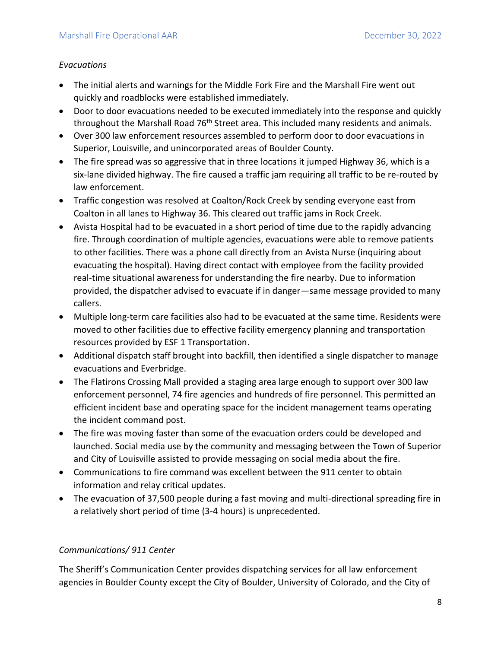#### *Evacuations*

- The initial alerts and warnings for the Middle Fork Fire and the Marshall Fire went out quickly and roadblocks were established immediately.
- Door to door evacuations needed to be executed immediately into the response and quickly throughout the Marshall Road 76<sup>th</sup> Street area. This included many residents and animals.
- Over 300 law enforcement resources assembled to perform door to door evacuations in Superior, Louisville, and unincorporated areas of Boulder County.
- The fire spread was so aggressive that in three locations it jumped Highway 36, which is a six-lane divided highway. The fire caused a traffic jam requiring all traffic to be re-routed by law enforcement.
- Traffic congestion was resolved at Coalton/Rock Creek by sending everyone east from Coalton in all lanes to Highway 36. This cleared out traffic jams in Rock Creek.
- Avista Hospital had to be evacuated in a short period of time due to the rapidly advancing fire. Through coordination of multiple agencies, evacuations were able to remove patients to other facilities. There was a phone call directly from an Avista Nurse (inquiring about evacuating the hospital). Having direct contact with employee from the facility provided real-time situational awareness for understanding the fire nearby. Due to information provided, the dispatcher advised to evacuate if in danger—same message provided to many callers.
- Multiple long-term care facilities also had to be evacuated at the same time. Residents were moved to other facilities due to effective facility emergency planning and transportation resources provided by ESF 1 Transportation.
- Additional dispatch staff brought into backfill, then identified a single dispatcher to manage evacuations and Everbridge.
- The Flatirons Crossing Mall provided a staging area large enough to support over 300 law enforcement personnel, 74 fire agencies and hundreds of fire personnel. This permitted an efficient incident base and operating space for the incident management teams operating the incident command post.
- The fire was moving faster than some of the evacuation orders could be developed and launched. Social media use by the community and messaging between the Town of Superior and City of Louisville assisted to provide messaging on social media about the fire.
- Communications to fire command was excellent between the 911 center to obtain information and relay critical updates.
- The evacuation of 37,500 people during a fast moving and multi-directional spreading fire in a relatively short period of time (3-4 hours) is unprecedented.

#### *Communications/ 911 Center*

The Sheriff's Communication Center provides dispatching services for all law enforcement agencies in Boulder County except the City of Boulder, University of Colorado, and the City of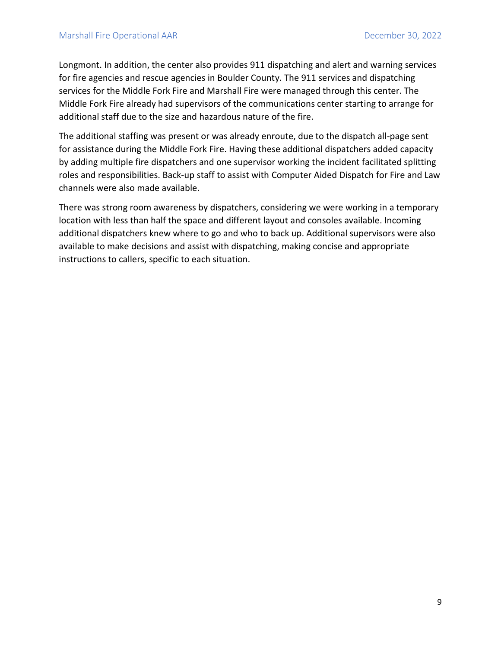Longmont. In addition, the center also provides 911 dispatching and alert and warning services for fire agencies and rescue agencies in Boulder County. The 911 services and dispatching services for the Middle Fork Fire and Marshall Fire were managed through this center. The Middle Fork Fire already had supervisors of the communications center starting to arrange for additional staff due to the size and hazardous nature of the fire.

The additional staffing was present or was already enroute, due to the dispatch all-page sent for assistance during the Middle Fork Fire. Having these additional dispatchers added capacity by adding multiple fire dispatchers and one supervisor working the incident facilitated splitting roles and responsibilities. Back-up staff to assist with Computer Aided Dispatch for Fire and Law channels were also made available.

There was strong room awareness by dispatchers, considering we were working in a temporary location with less than half the space and different layout and consoles available. Incoming additional dispatchers knew where to go and who to back up. Additional supervisors were also available to make decisions and assist with dispatching, making concise and appropriate instructions to callers, specific to each situation.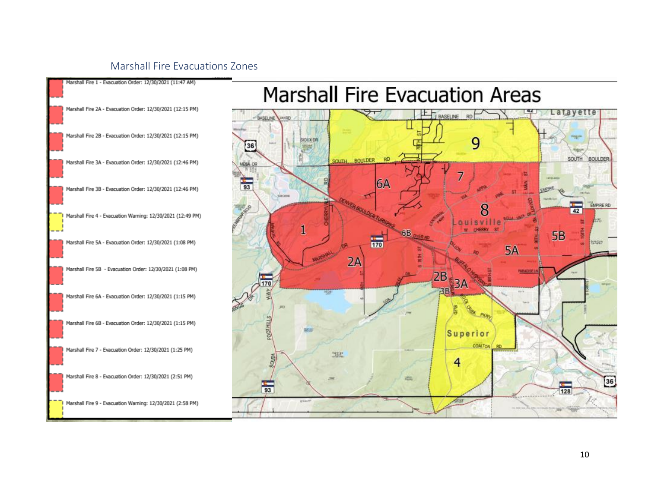#### <span id="page-10-0"></span>Marshall Fire Evacuations Zones



# **Marshall Fire Evacuation Areas**

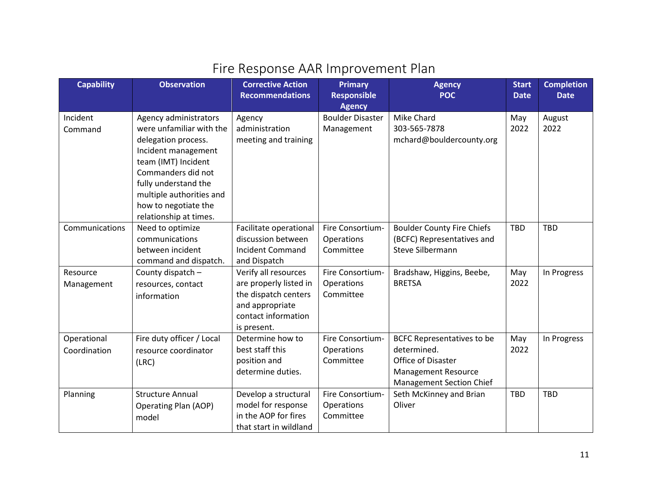## Fire Response AAR Improvement Plan

<span id="page-11-0"></span>

| <b>Capability</b> | <b>Observation</b>        | <b>Corrective Action</b><br><b>Recommendations</b> | <b>Primary</b><br><b>Responsible</b> | <b>Agency</b><br><b>POC</b>                      | <b>Start</b><br><b>Date</b> | <b>Completion</b><br><b>Date</b> |
|-------------------|---------------------------|----------------------------------------------------|--------------------------------------|--------------------------------------------------|-----------------------------|----------------------------------|
|                   |                           |                                                    | <b>Agency</b>                        |                                                  |                             |                                  |
| Incident          | Agency administrators     | Agency                                             | <b>Boulder Disaster</b>              | Mike Chard                                       | May                         | August                           |
| Command           | were unfamiliar with the  | administration                                     | Management                           | 303-565-7878                                     | 2022                        | 2022                             |
|                   | delegation process.       | meeting and training                               |                                      | mchard@bouldercounty.org                         |                             |                                  |
|                   | Incident management       |                                                    |                                      |                                                  |                             |                                  |
|                   | team (IMT) Incident       |                                                    |                                      |                                                  |                             |                                  |
|                   | Commanders did not        |                                                    |                                      |                                                  |                             |                                  |
|                   | fully understand the      |                                                    |                                      |                                                  |                             |                                  |
|                   | multiple authorities and  |                                                    |                                      |                                                  |                             |                                  |
|                   | how to negotiate the      |                                                    |                                      |                                                  |                             |                                  |
|                   | relationship at times.    |                                                    |                                      |                                                  |                             |                                  |
| Communications    | Need to optimize          | Facilitate operational                             | Fire Consortium-                     | <b>Boulder County Fire Chiefs</b>                | <b>TBD</b>                  | <b>TBD</b>                       |
|                   | communications            | discussion between                                 | Operations                           | (BCFC) Representatives and                       |                             |                                  |
|                   | between incident          | <b>Incident Command</b>                            | Committee                            | <b>Steve Silbermann</b>                          |                             |                                  |
|                   | command and dispatch.     | and Dispatch                                       |                                      |                                                  |                             |                                  |
| Resource          | County dispatch -         | Verify all resources                               | Fire Consortium-                     | Bradshaw, Higgins, Beebe,                        | May                         | In Progress                      |
| Management        | resources, contact        | are properly listed in                             | Operations                           | <b>BRETSA</b>                                    | 2022                        |                                  |
|                   | information               | the dispatch centers                               | Committee                            |                                                  |                             |                                  |
|                   |                           | and appropriate                                    |                                      |                                                  |                             |                                  |
|                   |                           | contact information                                |                                      |                                                  |                             |                                  |
|                   |                           | is present.<br>Determine how to                    | Fire Consortium-                     |                                                  |                             |                                  |
| Operational       | Fire duty officer / Local | best staff this                                    | Operations                           | <b>BCFC Representatives to be</b><br>determined. | May<br>2022                 | In Progress                      |
| Coordination      | resource coordinator      | position and                                       | Committee                            | Office of Disaster                               |                             |                                  |
|                   | (LRC)                     | determine duties.                                  |                                      | <b>Management Resource</b>                       |                             |                                  |
|                   |                           |                                                    |                                      | <b>Management Section Chief</b>                  |                             |                                  |
| Planning          | <b>Structure Annual</b>   | Develop a structural                               | Fire Consortium-                     | Seth McKinney and Brian                          | <b>TBD</b>                  | <b>TBD</b>                       |
|                   | Operating Plan (AOP)      | model for response                                 | Operations                           | Oliver                                           |                             |                                  |
|                   | model                     | in the AOP for fires                               | Committee                            |                                                  |                             |                                  |
|                   |                           | that start in wildland                             |                                      |                                                  |                             |                                  |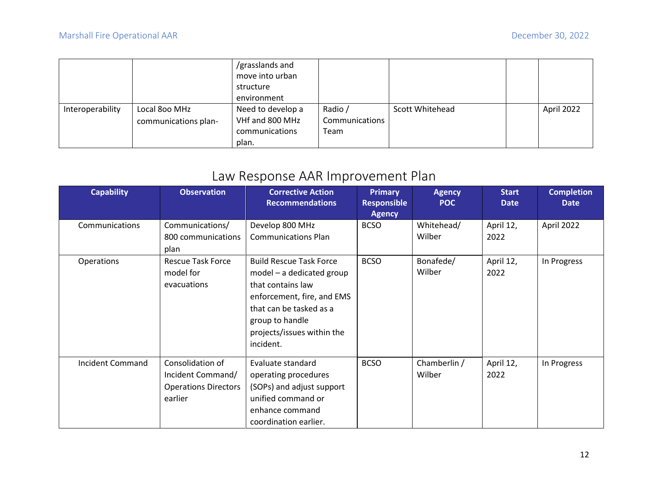|                  |                                       | /grasslands and<br>move into urban<br>structure<br>environment  |                                   |                 |            |
|------------------|---------------------------------------|-----------------------------------------------------------------|-----------------------------------|-----------------|------------|
| Interoperability | Local 800 MHz<br>communications plan- | Need to develop a<br>VHf and 800 MHz<br>communications<br>plan. | Radio /<br>Communications<br>Team | Scott Whitehead | April 2022 |

## Law Response AAR Improvement Plan

<span id="page-12-0"></span>

| <b>Capability</b> | <b>Observation</b>                                                              | <b>Corrective Action</b><br><b>Recommendations</b>                                                                                                                                                        | <b>Primary</b><br><b>Responsible</b> | <b>Agency</b><br><b>POC</b> | <b>Start</b><br><b>Date</b> | <b>Completion</b><br><b>Date</b> |
|-------------------|---------------------------------------------------------------------------------|-----------------------------------------------------------------------------------------------------------------------------------------------------------------------------------------------------------|--------------------------------------|-----------------------------|-----------------------------|----------------------------------|
| Communications    | Communications/<br>800 communications<br>plan                                   | Develop 800 MHz<br><b>Communications Plan</b>                                                                                                                                                             | <b>Agency</b><br><b>BCSO</b>         | Whitehead/<br>Wilber        | April 12,<br>2022           | April 2022                       |
| Operations        | <b>Rescue Task Force</b><br>model for<br>evacuations                            | <b>Build Rescue Task Force</b><br>$model - a$ dedicated group<br>that contains law<br>enforcement, fire, and EMS<br>that can be tasked as a<br>group to handle<br>projects/issues within the<br>incident. | <b>BCSO</b>                          | Bonafede/<br>Wilber         | April 12,<br>2022           | In Progress                      |
| Incident Command  | Consolidation of<br>Incident Command/<br><b>Operations Directors</b><br>earlier | Evaluate standard<br>operating procedures<br>(SOPs) and adjust support<br>unified command or<br>enhance command<br>coordination earlier.                                                                  | <b>BCSO</b>                          | Chamberlin /<br>Wilber      | April 12,<br>2022           | In Progress                      |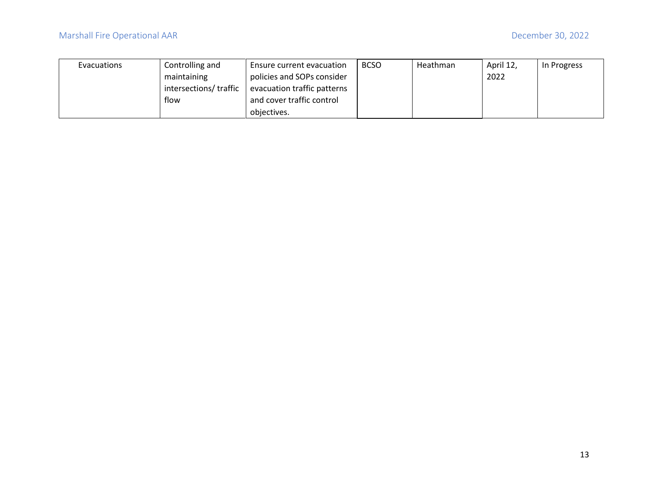| <b>Evacuations</b> | Controlling and        | Ensure current evacuation   | <b>BCSO</b> | Heathman | April 12, | In Progress |
|--------------------|------------------------|-----------------------------|-------------|----------|-----------|-------------|
|                    | maintaining            | policies and SOPs consider  |             |          | 2022      |             |
|                    | intersections/ traffic | evacuation traffic patterns |             |          |           |             |
|                    | flow                   | and cover traffic control   |             |          |           |             |
|                    |                        | objectives.                 |             |          |           |             |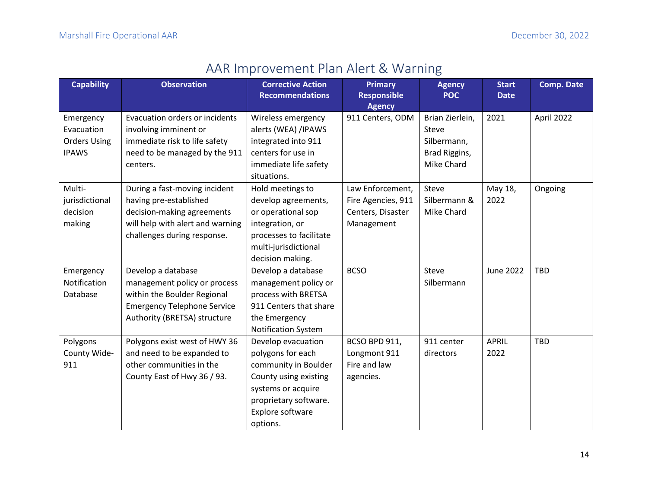## AAR Improvement Plan Alert & Warning

<span id="page-14-0"></span>

| <b>Capability</b>   | <b>Observation</b>                 | <b>Corrective Action</b><br><b>Recommendations</b> | <b>Primary</b><br><b>Responsible</b> | <b>Agency</b><br><b>POC</b> | <b>Start</b><br><b>Date</b> | <b>Comp. Date</b> |
|---------------------|------------------------------------|----------------------------------------------------|--------------------------------------|-----------------------------|-----------------------------|-------------------|
|                     |                                    |                                                    | <b>Agency</b>                        |                             |                             |                   |
| Emergency           | Evacuation orders or incidents     | Wireless emergency                                 | 911 Centers, ODM                     | Brian Zierlein,             | 2021                        | April 2022        |
| Evacuation          | involving imminent or              | alerts (WEA) /IPAWS                                |                                      | Steve                       |                             |                   |
| <b>Orders Using</b> | immediate risk to life safety      | integrated into 911                                |                                      | Silbermann,                 |                             |                   |
| <b>IPAWS</b>        | need to be managed by the 911      | centers for use in                                 |                                      | Brad Riggins,               |                             |                   |
|                     | centers.                           | immediate life safety                              |                                      | Mike Chard                  |                             |                   |
|                     |                                    | situations.                                        |                                      |                             |                             |                   |
| Multi-              | During a fast-moving incident      | Hold meetings to                                   | Law Enforcement,                     | Steve                       | May 18,                     | Ongoing           |
| jurisdictional      | having pre-established             | develop agreements,                                | Fire Agencies, 911                   | Silbermann &                | 2022                        |                   |
| decision            | decision-making agreements         | or operational sop                                 | Centers, Disaster                    | Mike Chard                  |                             |                   |
| making              | will help with alert and warning   | integration, or                                    | Management                           |                             |                             |                   |
|                     | challenges during response.        | processes to facilitate                            |                                      |                             |                             |                   |
|                     |                                    | multi-jurisdictional                               |                                      |                             |                             |                   |
|                     |                                    | decision making.                                   |                                      |                             |                             |                   |
| Emergency           | Develop a database                 | Develop a database                                 | <b>BCSO</b>                          | Steve                       | <b>June 2022</b>            | <b>TBD</b>        |
| Notification        | management policy or process       | management policy or                               |                                      | Silbermann                  |                             |                   |
| Database            | within the Boulder Regional        | process with BRETSA                                |                                      |                             |                             |                   |
|                     | <b>Emergency Telephone Service</b> | 911 Centers that share                             |                                      |                             |                             |                   |
|                     | Authority (BRETSA) structure       | the Emergency                                      |                                      |                             |                             |                   |
|                     |                                    | <b>Notification System</b>                         |                                      |                             |                             |                   |
| Polygons            | Polygons exist west of HWY 36      | Develop evacuation                                 | BCSO BPD 911,                        | 911 center                  | <b>APRIL</b>                | <b>TBD</b>        |
| County Wide-        | and need to be expanded to         | polygons for each                                  | Longmont 911                         | directors                   | 2022                        |                   |
| 911                 | other communities in the           | community in Boulder                               | Fire and law                         |                             |                             |                   |
|                     | County East of Hwy 36 / 93.        | County using existing                              | agencies.                            |                             |                             |                   |
|                     |                                    | systems or acquire                                 |                                      |                             |                             |                   |
|                     |                                    | proprietary software.                              |                                      |                             |                             |                   |
|                     |                                    | Explore software                                   |                                      |                             |                             |                   |
|                     |                                    | options.                                           |                                      |                             |                             |                   |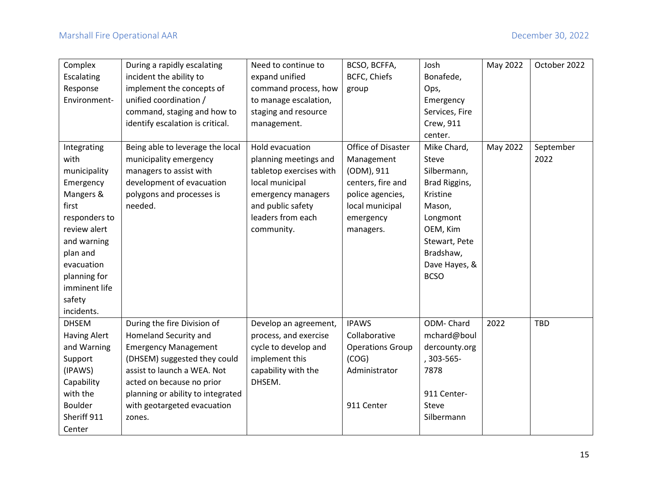| Complex             | During a rapidly escalating       | Need to continue to     | BCSO, BCFFA,            | Josh           | May 2022 | October 2022 |
|---------------------|-----------------------------------|-------------------------|-------------------------|----------------|----------|--------------|
| Escalating          | incident the ability to           | expand unified          | BCFC, Chiefs            | Bonafede,      |          |              |
| Response            | implement the concepts of         | command process, how    | group                   | Ops,           |          |              |
| Environment-        | unified coordination /            | to manage escalation,   |                         | Emergency      |          |              |
|                     | command, staging and how to       | staging and resource    |                         | Services, Fire |          |              |
|                     | identify escalation is critical.  | management.             |                         | Crew, 911      |          |              |
|                     |                                   |                         |                         | center.        |          |              |
| Integrating         | Being able to leverage the local  | Hold evacuation         | Office of Disaster      | Mike Chard,    | May 2022 | September    |
| with                | municipality emergency            | planning meetings and   | Management              | Steve          |          | 2022         |
| municipality        | managers to assist with           | tabletop exercises with | (ODM), 911              | Silbermann,    |          |              |
| Emergency           | development of evacuation         | local municipal         | centers, fire and       | Brad Riggins,  |          |              |
| Mangers &           | polygons and processes is         | emergency managers      | police agencies,        | Kristine       |          |              |
| first               | needed.                           | and public safety       | local municipal         | Mason,         |          |              |
| responders to       |                                   | leaders from each       | emergency               | Longmont       |          |              |
| review alert        |                                   | community.              | managers.               | OEM, Kim       |          |              |
| and warning         |                                   |                         |                         | Stewart, Pete  |          |              |
| plan and            |                                   |                         |                         | Bradshaw,      |          |              |
| evacuation          |                                   |                         |                         | Dave Hayes, &  |          |              |
| planning for        |                                   |                         |                         | <b>BCSO</b>    |          |              |
| imminent life       |                                   |                         |                         |                |          |              |
| safety              |                                   |                         |                         |                |          |              |
| incidents.          |                                   |                         |                         |                |          |              |
| <b>DHSEM</b>        | During the fire Division of       | Develop an agreement,   | <b>IPAWS</b>            | ODM-Chard      | 2022     | <b>TBD</b>   |
| <b>Having Alert</b> | Homeland Security and             | process, and exercise   | Collaborative           | mchard@boul    |          |              |
| and Warning         | <b>Emergency Management</b>       | cycle to develop and    | <b>Operations Group</b> | dercounty.org  |          |              |
| Support             | (DHSEM) suggested they could      | implement this          | (COG)                   | , 303-565-     |          |              |
| (IPAWS)             | assist to launch a WEA. Not       | capability with the     | Administrator           | 7878           |          |              |
| Capability          | acted on because no prior         | DHSEM.                  |                         |                |          |              |
| with the            | planning or ability to integrated |                         |                         | 911 Center-    |          |              |
| <b>Boulder</b>      | with geotargeted evacuation       |                         | 911 Center              | Steve          |          |              |
| Sheriff 911         | zones.                            |                         |                         | Silbermann     |          |              |
| Center              |                                   |                         |                         |                |          |              |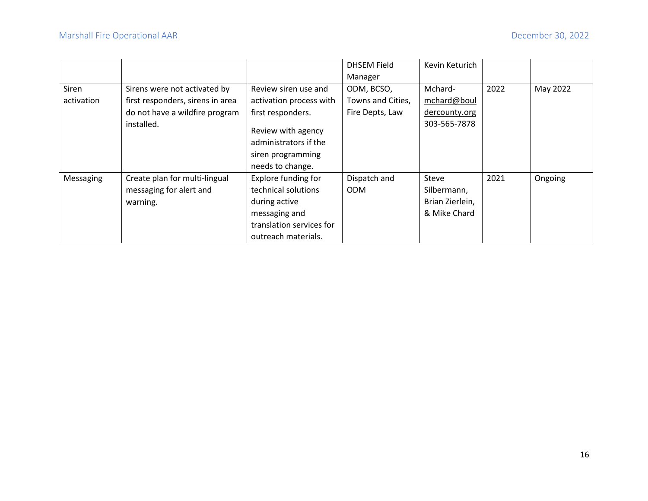|            |                                  |                                                                                      | <b>DHSEM Field</b> | Kevin Keturich  |      |          |
|------------|----------------------------------|--------------------------------------------------------------------------------------|--------------------|-----------------|------|----------|
|            |                                  |                                                                                      | Manager            |                 |      |          |
| Siren      | Sirens were not activated by     | Review siren use and                                                                 | ODM, BCSO,         | Mchard-         | 2022 | May 2022 |
| activation | first responders, sirens in area | activation process with                                                              | Towns and Cities,  | mchard@boul     |      |          |
|            | do not have a wildfire program   | first responders.                                                                    | Fire Depts, Law    | dercounty.org   |      |          |
|            | installed.                       | Review with agency<br>administrators if the<br>siren programming<br>needs to change. |                    | 303-565-7878    |      |          |
| Messaging  | Create plan for multi-lingual    | Explore funding for                                                                  | Dispatch and       | Steve           | 2021 | Ongoing  |
|            | messaging for alert and          | technical solutions                                                                  | <b>ODM</b>         | Silbermann,     |      |          |
|            | warning.                         | during active                                                                        |                    | Brian Zierlein, |      |          |
|            |                                  | messaging and                                                                        |                    | & Mike Chard    |      |          |
|            |                                  | translation services for                                                             |                    |                 |      |          |
|            |                                  | outreach materials.                                                                  |                    |                 |      |          |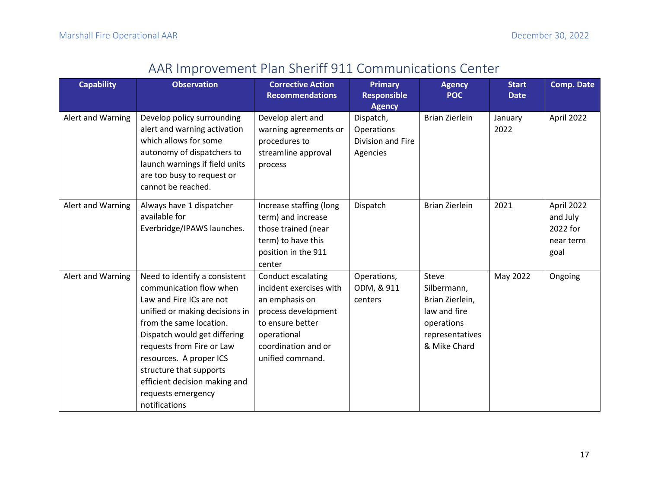## AAR Improvement Plan Sheriff 911 Communications Center

<span id="page-17-0"></span>

| <b>Capability</b> | <b>Observation</b>             | <b>Corrective Action</b><br><b>Recommendations</b> | <b>Primary</b><br><b>Responsible</b> | <b>Agency</b><br><b>POC</b> | <b>Start</b><br><b>Date</b> | <b>Comp. Date</b> |
|-------------------|--------------------------------|----------------------------------------------------|--------------------------------------|-----------------------------|-----------------------------|-------------------|
|                   |                                |                                                    | <b>Agency</b>                        |                             |                             |                   |
| Alert and Warning | Develop policy surrounding     | Develop alert and                                  | Dispatch,                            | <b>Brian Zierlein</b>       | January                     | April 2022        |
|                   | alert and warning activation   | warning agreements or                              | Operations                           |                             | 2022                        |                   |
|                   | which allows for some          | procedures to                                      | Division and Fire                    |                             |                             |                   |
|                   | autonomy of dispatchers to     | streamline approval                                | Agencies                             |                             |                             |                   |
|                   | launch warnings if field units | process                                            |                                      |                             |                             |                   |
|                   | are too busy to request or     |                                                    |                                      |                             |                             |                   |
|                   | cannot be reached.             |                                                    |                                      |                             |                             |                   |
| Alert and Warning | Always have 1 dispatcher       | Increase staffing (long                            | Dispatch                             | <b>Brian Zierlein</b>       | 2021                        | April 2022        |
|                   | available for                  | term) and increase                                 |                                      |                             |                             | and July          |
|                   | Everbridge/IPAWS launches.     | those trained (near                                |                                      |                             |                             | 2022 for          |
|                   |                                | term) to have this                                 |                                      |                             |                             | near term         |
|                   |                                | position in the 911                                |                                      |                             |                             | goal              |
|                   |                                | center                                             |                                      |                             |                             |                   |
| Alert and Warning | Need to identify a consistent  | Conduct escalating                                 | Operations,                          | Steve                       | May 2022                    | Ongoing           |
|                   | communication flow when        | incident exercises with                            | ODM, & 911                           | Silbermann,                 |                             |                   |
|                   | Law and Fire ICs are not       | an emphasis on                                     | centers                              | Brian Zierlein,             |                             |                   |
|                   | unified or making decisions in | process development                                |                                      | law and fire                |                             |                   |
|                   | from the same location.        | to ensure better                                   |                                      | operations                  |                             |                   |
|                   | Dispatch would get differing   | operational                                        |                                      | representatives             |                             |                   |
|                   | requests from Fire or Law      | coordination and or                                |                                      | & Mike Chard                |                             |                   |
|                   | resources. A proper ICS        | unified command.                                   |                                      |                             |                             |                   |
|                   | structure that supports        |                                                    |                                      |                             |                             |                   |
|                   | efficient decision making and  |                                                    |                                      |                             |                             |                   |
|                   | requests emergency             |                                                    |                                      |                             |                             |                   |
|                   | notifications                  |                                                    |                                      |                             |                             |                   |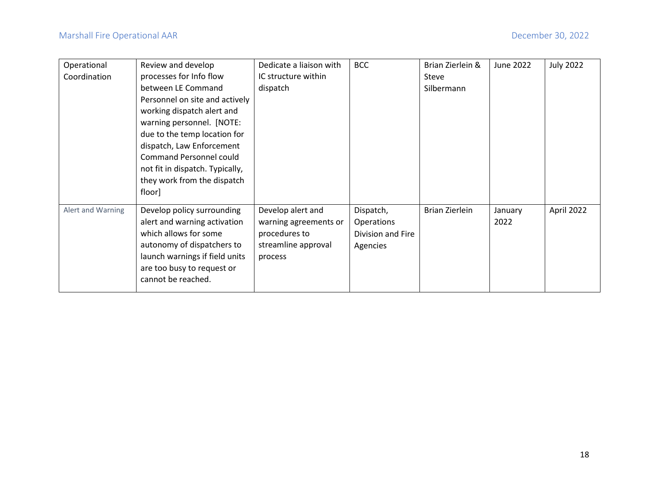| Operational       | Review and develop              | Dedicate a liaison with | <b>BCC</b>        | Brian Zierlein & | June 2022 | <b>July 2022</b> |
|-------------------|---------------------------------|-------------------------|-------------------|------------------|-----------|------------------|
| Coordination      | processes for Info flow         | IC structure within     |                   | Steve            |           |                  |
|                   | between LE Command              | dispatch                |                   | Silbermann       |           |                  |
|                   | Personnel on site and actively  |                         |                   |                  |           |                  |
|                   | working dispatch alert and      |                         |                   |                  |           |                  |
|                   | warning personnel. [NOTE:       |                         |                   |                  |           |                  |
|                   | due to the temp location for    |                         |                   |                  |           |                  |
|                   | dispatch, Law Enforcement       |                         |                   |                  |           |                  |
|                   | <b>Command Personnel could</b>  |                         |                   |                  |           |                  |
|                   | not fit in dispatch. Typically, |                         |                   |                  |           |                  |
|                   | they work from the dispatch     |                         |                   |                  |           |                  |
|                   | floor]                          |                         |                   |                  |           |                  |
| Alert and Warning | Develop policy surrounding      | Develop alert and       | Dispatch,         | Brian Zierlein   | January   | April 2022       |
|                   | alert and warning activation    | warning agreements or   | Operations        |                  | 2022      |                  |
|                   | which allows for some           | procedures to           | Division and Fire |                  |           |                  |
|                   | autonomy of dispatchers to      | streamline approval     | Agencies          |                  |           |                  |
|                   | launch warnings if field units  | process                 |                   |                  |           |                  |
|                   | are too busy to request or      |                         |                   |                  |           |                  |
|                   | cannot be reached.              |                         |                   |                  |           |                  |
|                   |                                 |                         |                   |                  |           |                  |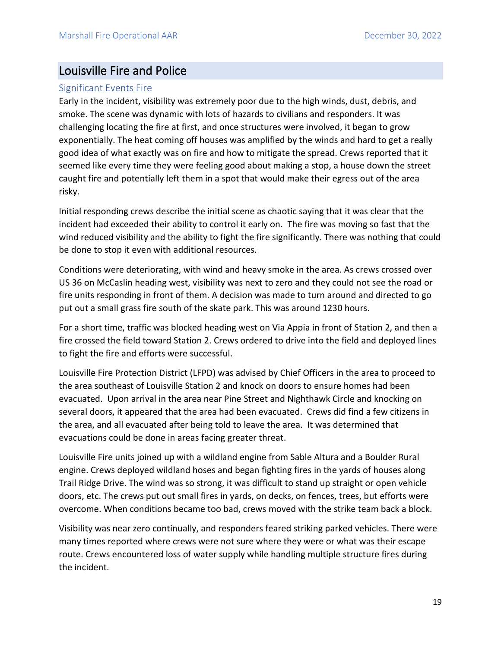### <span id="page-19-0"></span>Louisville Fire and Police

#### <span id="page-19-1"></span>Significant Events Fire

Early in the incident, visibility was extremely poor due to the high winds, dust, debris, and smoke. The scene was dynamic with lots of hazards to civilians and responders. It was challenging locating the fire at first, and once structures were involved, it began to grow exponentially. The heat coming off houses was amplified by the winds and hard to get a really good idea of what exactly was on fire and how to mitigate the spread. Crews reported that it seemed like every time they were feeling good about making a stop, a house down the street caught fire and potentially left them in a spot that would make their egress out of the area risky.

Initial responding crews describe the initial scene as chaotic saying that it was clear that the incident had exceeded their ability to control it early on. The fire was moving so fast that the wind reduced visibility and the ability to fight the fire significantly. There was nothing that could be done to stop it even with additional resources.

Conditions were deteriorating, with wind and heavy smoke in the area. As crews crossed over US 36 on McCaslin heading west, visibility was next to zero and they could not see the road or fire units responding in front of them. A decision was made to turn around and directed to go put out a small grass fire south of the skate park. This was around 1230 hours.

For a short time, traffic was blocked heading west on Via Appia in front of Station 2, and then a fire crossed the field toward Station 2. Crews ordered to drive into the field and deployed lines to fight the fire and efforts were successful.

Louisville Fire Protection District (LFPD) was advised by Chief Officers in the area to proceed to the area southeast of Louisville Station 2 and knock on doors to ensure homes had been evacuated. Upon arrival in the area near Pine Street and Nighthawk Circle and knocking on several doors, it appeared that the area had been evacuated. Crews did find a few citizens in the area, and all evacuated after being told to leave the area. It was determined that evacuations could be done in areas facing greater threat.

Louisville Fire units joined up with a wildland engine from Sable Altura and a Boulder Rural engine. Crews deployed wildland hoses and began fighting fires in the yards of houses along Trail Ridge Drive. The wind was so strong, it was difficult to stand up straight or open vehicle doors, etc. The crews put out small fires in yards, on decks, on fences, trees, but efforts were overcome. When conditions became too bad, crews moved with the strike team back a block.

Visibility was near zero continually, and responders feared striking parked vehicles. There were many times reported where crews were not sure where they were or what was their escape route. Crews encountered loss of water supply while handling multiple structure fires during the incident.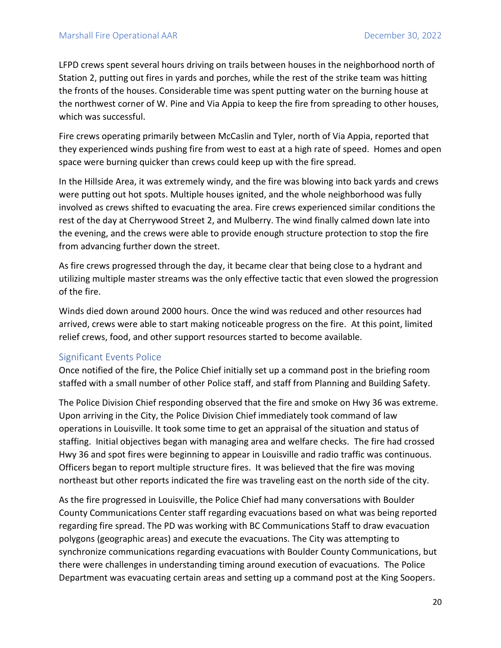LFPD crews spent several hours driving on trails between houses in the neighborhood north of Station 2, putting out fires in yards and porches, while the rest of the strike team was hitting the fronts of the houses. Considerable time was spent putting water on the burning house at the northwest corner of W. Pine and Via Appia to keep the fire from spreading to other houses, which was successful.

Fire crews operating primarily between McCaslin and Tyler, north of Via Appia, reported that they experienced winds pushing fire from west to east at a high rate of speed. Homes and open space were burning quicker than crews could keep up with the fire spread.

In the Hillside Area, it was extremely windy, and the fire was blowing into back yards and crews were putting out hot spots. Multiple houses ignited, and the whole neighborhood was fully involved as crews shifted to evacuating the area. Fire crews experienced similar conditions the rest of the day at Cherrywood Street 2, and Mulberry. The wind finally calmed down late into the evening, and the crews were able to provide enough structure protection to stop the fire from advancing further down the street.

As fire crews progressed through the day, it became clear that being close to a hydrant and utilizing multiple master streams was the only effective tactic that even slowed the progression of the fire.

Winds died down around 2000 hours. Once the wind was reduced and other resources had arrived, crews were able to start making noticeable progress on the fire. At this point, limited relief crews, food, and other support resources started to become available.

#### <span id="page-20-0"></span>Significant Events Police

Once notified of the fire, the Police Chief initially set up a command post in the briefing room staffed with a small number of other Police staff, and staff from Planning and Building Safety.

The Police Division Chief responding observed that the fire and smoke on Hwy 36 was extreme. Upon arriving in the City, the Police Division Chief immediately took command of law operations in Louisville. It took some time to get an appraisal of the situation and status of staffing. Initial objectives began with managing area and welfare checks. The fire had crossed Hwy 36 and spot fires were beginning to appear in Louisville and radio traffic was continuous. Officers began to report multiple structure fires. It was believed that the fire was moving northeast but other reports indicated the fire was traveling east on the north side of the city.

As the fire progressed in Louisville, the Police Chief had many conversations with Boulder County Communications Center staff regarding evacuations based on what was being reported regarding fire spread. The PD was working with BC Communications Staff to draw evacuation polygons (geographic areas) and execute the evacuations. The City was attempting to synchronize communications regarding evacuations with Boulder County Communications, but there were challenges in understanding timing around execution of evacuations. The Police Department was evacuating certain areas and setting up a command post at the King Soopers.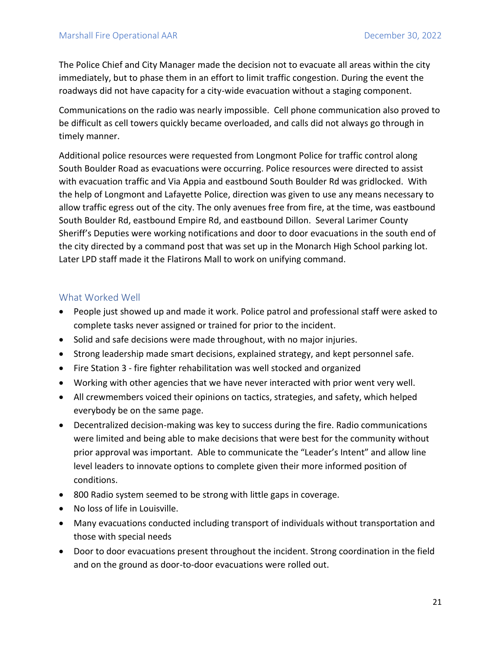The Police Chief and City Manager made the decision not to evacuate all areas within the city immediately, but to phase them in an effort to limit traffic congestion. During the event the roadways did not have capacity for a city-wide evacuation without a staging component.

Communications on the radio was nearly impossible. Cell phone communication also proved to be difficult as cell towers quickly became overloaded, and calls did not always go through in timely manner.

Additional police resources were requested from Longmont Police for traffic control along South Boulder Road as evacuations were occurring. Police resources were directed to assist with evacuation traffic and Via Appia and eastbound South Boulder Rd was gridlocked. With the help of Longmont and Lafayette Police, direction was given to use any means necessary to allow traffic egress out of the city. The only avenues free from fire, at the time, was eastbound South Boulder Rd, eastbound Empire Rd, and eastbound Dillon. Several Larimer County Sheriff's Deputies were working notifications and door to door evacuations in the south end of the city directed by a command post that was set up in the Monarch High School parking lot. Later LPD staff made it the Flatirons Mall to work on unifying command.

#### <span id="page-21-0"></span>What Worked Well

- People just showed up and made it work. Police patrol and professional staff were asked to complete tasks never assigned or trained for prior to the incident.
- Solid and safe decisions were made throughout, with no major injuries.
- Strong leadership made smart decisions, explained strategy, and kept personnel safe.
- Fire Station 3 fire fighter rehabilitation was well stocked and organized
- Working with other agencies that we have never interacted with prior went very well.
- All crewmembers voiced their opinions on tactics, strategies, and safety, which helped everybody be on the same page.
- Decentralized decision-making was key to success during the fire. Radio communications were limited and being able to make decisions that were best for the community without prior approval was important. Able to communicate the "Leader's Intent" and allow line level leaders to innovate options to complete given their more informed position of conditions.
- 800 Radio system seemed to be strong with little gaps in coverage.
- No loss of life in Louisville.
- Many evacuations conducted including transport of individuals without transportation and those with special needs
- Door to door evacuations present throughout the incident. Strong coordination in the field and on the ground as door-to-door evacuations were rolled out.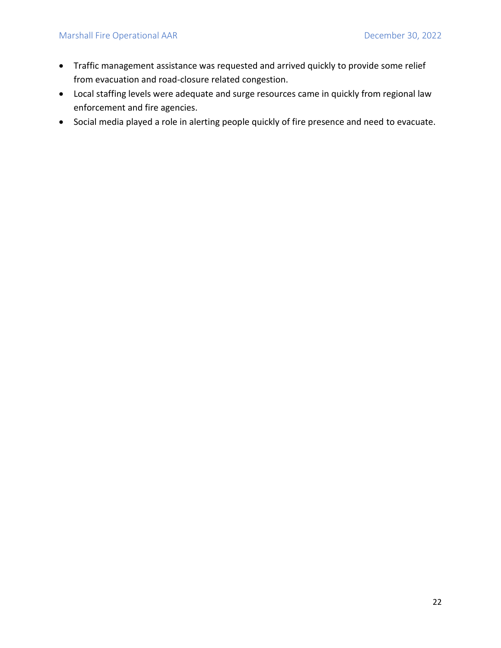- Traffic management assistance was requested and arrived quickly to provide some relief from evacuation and road-closure related congestion.
- Local staffing levels were adequate and surge resources came in quickly from regional law enforcement and fire agencies.
- Social media played a role in alerting people quickly of fire presence and need to evacuate.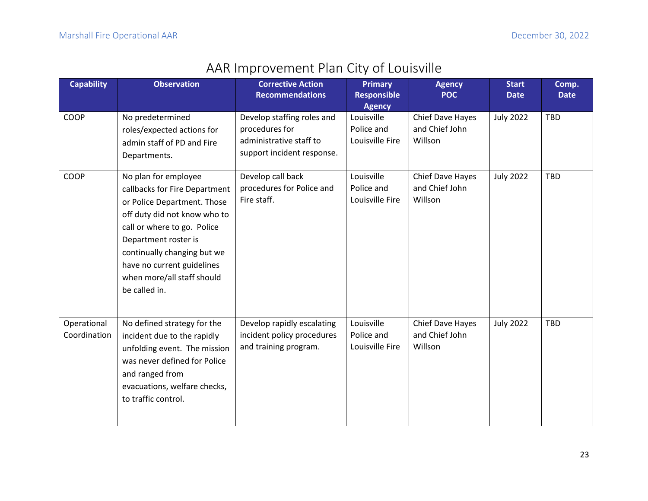<span id="page-23-0"></span>

| <b>Capability</b>           | <b>Observation</b>                                                                                                                                                                                                                                                                      | <b>Corrective Action</b><br><b>Recommendations</b>                                                    | <b>Primary</b><br><b>Responsible</b><br><b>Agency</b> | <b>Agency</b><br><b>POC</b>                   | <b>Start</b><br><b>Date</b> | Comp.<br><b>Date</b> |
|-----------------------------|-----------------------------------------------------------------------------------------------------------------------------------------------------------------------------------------------------------------------------------------------------------------------------------------|-------------------------------------------------------------------------------------------------------|-------------------------------------------------------|-----------------------------------------------|-----------------------------|----------------------|
| COOP                        | No predetermined<br>roles/expected actions for<br>admin staff of PD and Fire<br>Departments.                                                                                                                                                                                            | Develop staffing roles and<br>procedures for<br>administrative staff to<br>support incident response. | Louisville<br>Police and<br>Louisville Fire           | Chief Dave Hayes<br>and Chief John<br>Willson | <b>July 2022</b>            | <b>TBD</b>           |
| COOP                        | No plan for employee<br>callbacks for Fire Department<br>or Police Department. Those<br>off duty did not know who to<br>call or where to go. Police<br>Department roster is<br>continually changing but we<br>have no current guidelines<br>when more/all staff should<br>be called in. | Develop call back<br>procedures for Police and<br>Fire staff.                                         | Louisville<br>Police and<br>Louisville Fire           | Chief Dave Hayes<br>and Chief John<br>Willson | <b>July 2022</b>            | TBD                  |
| Operational<br>Coordination | No defined strategy for the<br>incident due to the rapidly<br>unfolding event. The mission<br>was never defined for Police<br>and ranged from<br>evacuations, welfare checks,<br>to traffic control.                                                                                    | Develop rapidly escalating<br>incident policy procedures<br>and training program.                     | Louisville<br>Police and<br>Louisville Fire           | Chief Dave Hayes<br>and Chief John<br>Willson | <b>July 2022</b>            | <b>TBD</b>           |

## AAR Improvement Plan City of Louisville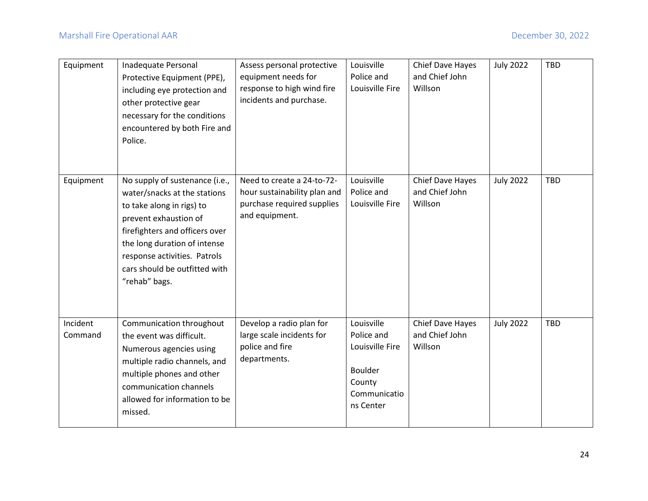| Equipment           | Inadequate Personal<br>Protective Equipment (PPE),<br>including eye protection and<br>other protective gear<br>necessary for the conditions<br>encountered by both Fire and<br>Police.                                                                                   | Assess personal protective<br>equipment needs for<br>response to high wind fire<br>incidents and purchase. | Louisville<br>Police and<br>Louisville Fire                                                          | Chief Dave Hayes<br>and Chief John<br>Willson | <b>July 2022</b> | <b>TBD</b> |
|---------------------|--------------------------------------------------------------------------------------------------------------------------------------------------------------------------------------------------------------------------------------------------------------------------|------------------------------------------------------------------------------------------------------------|------------------------------------------------------------------------------------------------------|-----------------------------------------------|------------------|------------|
| Equipment           | No supply of sustenance (i.e.,<br>water/snacks at the stations<br>to take along in rigs) to<br>prevent exhaustion of<br>firefighters and officers over<br>the long duration of intense<br>response activities. Patrols<br>cars should be outfitted with<br>"rehab" bags. | Need to create a 24-to-72-<br>hour sustainability plan and<br>purchase required supplies<br>and equipment. | Louisville<br>Police and<br>Louisville Fire                                                          | Chief Dave Hayes<br>and Chief John<br>Willson | <b>July 2022</b> | TBD        |
| Incident<br>Command | Communication throughout<br>the event was difficult.<br>Numerous agencies using<br>multiple radio channels, and<br>multiple phones and other<br>communication channels<br>allowed for information to be<br>missed.                                                       | Develop a radio plan for<br>large scale incidents for<br>police and fire<br>departments.                   | Louisville<br>Police and<br>Louisville Fire<br><b>Boulder</b><br>County<br>Communicatio<br>ns Center | Chief Dave Hayes<br>and Chief John<br>Willson | <b>July 2022</b> | TBD        |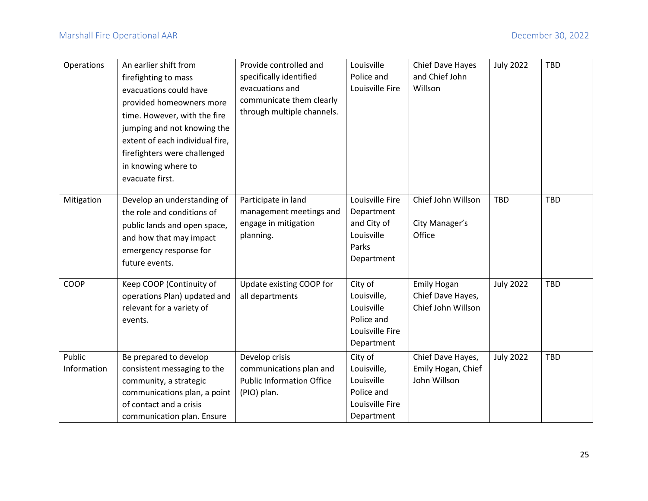| Operations            | An earlier shift from<br>firefighting to mass<br>evacuations could have<br>provided homeowners more<br>time. However, with the fire<br>jumping and not knowing the<br>extent of each individual fire,<br>firefighters were challenged<br>in knowing where to<br>evacuate first. | Provide controlled and<br>specifically identified<br>evacuations and<br>communicate them clearly<br>through multiple channels. | Louisville<br>Police and<br>Louisville Fire                                         | Chief Dave Hayes<br>and Chief John<br>Willson                 | <b>July 2022</b> | TBD        |
|-----------------------|---------------------------------------------------------------------------------------------------------------------------------------------------------------------------------------------------------------------------------------------------------------------------------|--------------------------------------------------------------------------------------------------------------------------------|-------------------------------------------------------------------------------------|---------------------------------------------------------------|------------------|------------|
| Mitigation            | Develop an understanding of<br>the role and conditions of<br>public lands and open space,<br>and how that may impact<br>emergency response for<br>future events.                                                                                                                | Participate in land<br>management meetings and<br>engage in mitigation<br>planning.                                            | Louisville Fire<br>Department<br>and City of<br>Louisville<br>Parks<br>Department   | Chief John Willson<br>City Manager's<br>Office                | TBD              | <b>TBD</b> |
| <b>COOP</b>           | Keep COOP (Continuity of<br>operations Plan) updated and<br>relevant for a variety of<br>events.                                                                                                                                                                                | Update existing COOP for<br>all departments                                                                                    | City of<br>Louisville,<br>Louisville<br>Police and<br>Louisville Fire<br>Department | <b>Emily Hogan</b><br>Chief Dave Hayes,<br>Chief John Willson | <b>July 2022</b> | <b>TBD</b> |
| Public<br>Information | Be prepared to develop<br>consistent messaging to the<br>community, a strategic<br>communications plan, a point<br>of contact and a crisis<br>communication plan. Ensure                                                                                                        | Develop crisis<br>communications plan and<br><b>Public Information Office</b><br>(PIO) plan.                                   | City of<br>Louisville,<br>Louisville<br>Police and<br>Louisville Fire<br>Department | Chief Dave Hayes,<br>Emily Hogan, Chief<br>John Willson       | <b>July 2022</b> | <b>TBD</b> |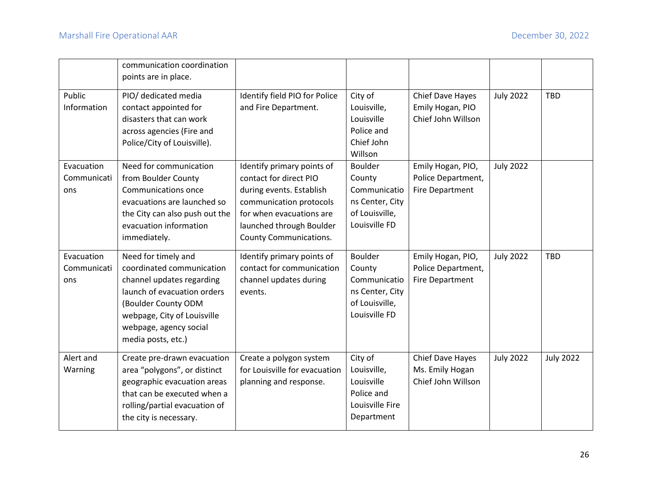|                                  | communication coordination<br>points are in place.                                                                                                                                                                 |                                                                                                                                                                                                      |                                                                                                |                                                                   |                  |                  |
|----------------------------------|--------------------------------------------------------------------------------------------------------------------------------------------------------------------------------------------------------------------|------------------------------------------------------------------------------------------------------------------------------------------------------------------------------------------------------|------------------------------------------------------------------------------------------------|-------------------------------------------------------------------|------------------|------------------|
| Public<br>Information            | PIO/ dedicated media<br>contact appointed for<br>disasters that can work<br>across agencies (Fire and<br>Police/City of Louisville).                                                                               | Identify field PIO for Police<br>and Fire Department.                                                                                                                                                | City of<br>Louisville,<br>Louisville<br>Police and<br>Chief John<br>Willson                    | Chief Dave Hayes<br>Emily Hogan, PIO<br>Chief John Willson        | <b>July 2022</b> | <b>TBD</b>       |
| Evacuation<br>Communicati<br>ons | Need for communication<br>from Boulder County<br>Communications once<br>evacuations are launched so<br>the City can also push out the<br>evacuation information<br>immediately.                                    | Identify primary points of<br>contact for direct PIO<br>during events. Establish<br>communication protocols<br>for when evacuations are<br>launched through Boulder<br><b>County Communications.</b> | Boulder<br>County<br>Communicatio<br>ns Center, City<br>of Louisville,<br>Louisville FD        | Emily Hogan, PIO,<br>Police Department,<br><b>Fire Department</b> | <b>July 2022</b> |                  |
| Evacuation<br>Communicati<br>ons | Need for timely and<br>coordinated communication<br>channel updates regarding<br>launch of evacuation orders<br>(Boulder County ODM<br>webpage, City of Louisville<br>webpage, agency social<br>media posts, etc.) | Identify primary points of<br>contact for communication<br>channel updates during<br>events.                                                                                                         | <b>Boulder</b><br>County<br>Communicatio<br>ns Center, City<br>of Louisville,<br>Louisville FD | Emily Hogan, PIO,<br>Police Department,<br><b>Fire Department</b> | <b>July 2022</b> | <b>TBD</b>       |
| Alert and<br>Warning             | Create pre-drawn evacuation<br>area "polygons", or distinct<br>geographic evacuation areas<br>that can be executed when a<br>rolling/partial evacuation of<br>the city is necessary.                               | Create a polygon system<br>for Louisville for evacuation<br>planning and response.                                                                                                                   | City of<br>Louisville,<br>Louisville<br>Police and<br>Louisville Fire<br>Department            | Chief Dave Hayes<br>Ms. Emily Hogan<br>Chief John Willson         | <b>July 2022</b> | <b>July 2022</b> |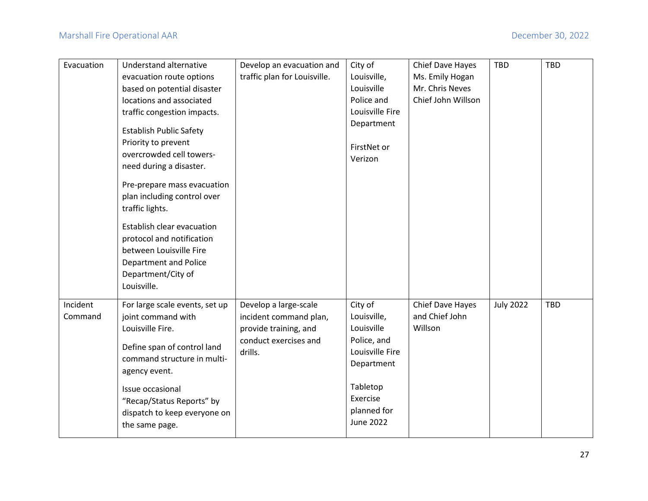| Evacuation          | Understand alternative                                                                                                                                                                                                                                                                                                                                   | Develop an evacuation and                                                                                    | City of                                                                                                                                         | Chief Dave Hayes                              | <b>TBD</b>       | <b>TBD</b> |
|---------------------|----------------------------------------------------------------------------------------------------------------------------------------------------------------------------------------------------------------------------------------------------------------------------------------------------------------------------------------------------------|--------------------------------------------------------------------------------------------------------------|-------------------------------------------------------------------------------------------------------------------------------------------------|-----------------------------------------------|------------------|------------|
|                     | evacuation route options                                                                                                                                                                                                                                                                                                                                 | traffic plan for Louisville.                                                                                 | Louisville,                                                                                                                                     | Ms. Emily Hogan                               |                  |            |
|                     | based on potential disaster                                                                                                                                                                                                                                                                                                                              |                                                                                                              | Louisville                                                                                                                                      | Mr. Chris Neves                               |                  |            |
|                     | locations and associated                                                                                                                                                                                                                                                                                                                                 |                                                                                                              | Police and                                                                                                                                      | Chief John Willson                            |                  |            |
|                     | traffic congestion impacts.                                                                                                                                                                                                                                                                                                                              |                                                                                                              | Louisville Fire                                                                                                                                 |                                               |                  |            |
|                     | <b>Establish Public Safety</b><br>Priority to prevent<br>overcrowded cell towers-<br>need during a disaster.<br>Pre-prepare mass evacuation<br>plan including control over<br>traffic lights.<br>Establish clear evacuation<br>protocol and notification<br>between Louisville Fire<br><b>Department and Police</b><br>Department/City of<br>Louisville. |                                                                                                              | Department<br>FirstNet or<br>Verizon                                                                                                            |                                               |                  |            |
| Incident<br>Command | For large scale events, set up<br>joint command with<br>Louisville Fire.<br>Define span of control land<br>command structure in multi-<br>agency event.<br>Issue occasional<br>"Recap/Status Reports" by<br>dispatch to keep everyone on<br>the same page.                                                                                               | Develop a large-scale<br>incident command plan,<br>provide training, and<br>conduct exercises and<br>drills. | City of<br>Louisville,<br>Louisville<br>Police, and<br>Louisville Fire<br>Department<br>Tabletop<br>Exercise<br>planned for<br><b>June 2022</b> | Chief Dave Hayes<br>and Chief John<br>Willson | <b>July 2022</b> | <b>TBD</b> |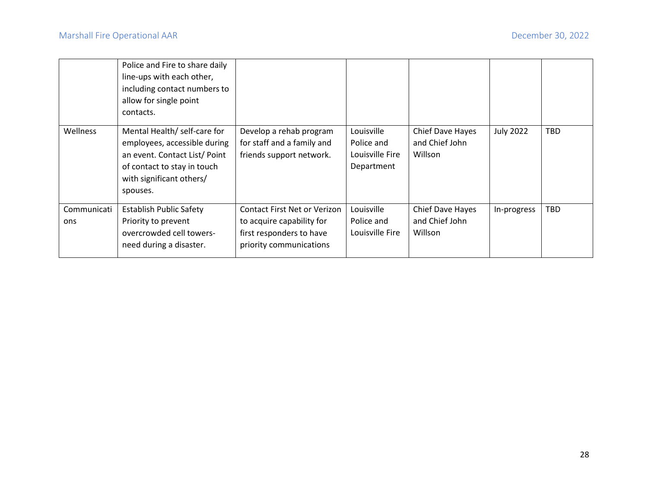|                    | Police and Fire to share daily<br>line-ups with each other,<br>including contact numbers to<br>allow for single point<br>contacts.                                  |                                                                                                                         |                                                           |                                               |                  |     |
|--------------------|---------------------------------------------------------------------------------------------------------------------------------------------------------------------|-------------------------------------------------------------------------------------------------------------------------|-----------------------------------------------------------|-----------------------------------------------|------------------|-----|
| Wellness           | Mental Health/ self-care for<br>employees, accessible during<br>an event. Contact List/Point<br>of contact to stay in touch<br>with significant others/<br>spouses. | Develop a rehab program<br>for staff and a family and<br>friends support network.                                       | Louisville<br>Police and<br>Louisville Fire<br>Department | Chief Dave Hayes<br>and Chief John<br>Willson | <b>July 2022</b> | TBD |
| Communicati<br>ons | <b>Establish Public Safety</b><br>Priority to prevent<br>overcrowded cell towers-<br>need during a disaster.                                                        | <b>Contact First Net or Verizon</b><br>to acquire capability for<br>first responders to have<br>priority communications | Louisville<br>Police and<br>Louisville Fire               | Chief Dave Hayes<br>and Chief John<br>Willson | In-progress      | TBD |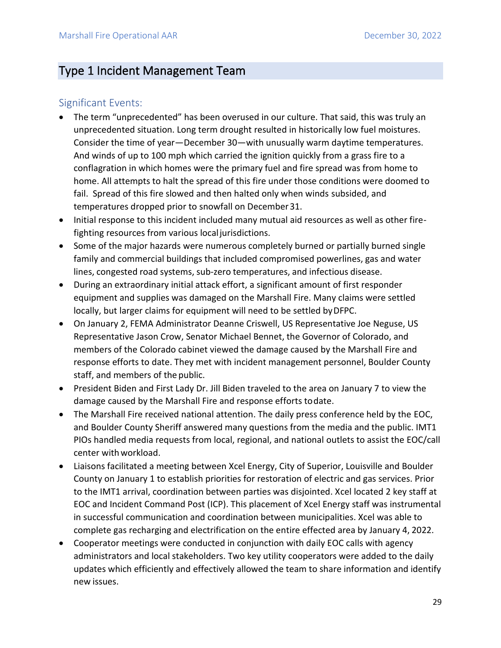## <span id="page-29-0"></span>Type 1 Incident Management Team

#### <span id="page-29-1"></span>Significant Events:

- The term "unprecedented" has been overused in our culture. That said, this was truly an unprecedented situation. Long term drought resulted in historically low fuel moistures. Consider the time of year—December 30—with unusually warm daytime temperatures. And winds of up to 100 mph which carried the ignition quickly from a grass fire to a conflagration in which homes were the primary fuel and fire spread was from home to home. All attempts to halt the spread of this fire under those conditions were doomed to fail. Spread of this fire slowed and then halted only when winds subsided, and temperatures dropped prior to snowfall on December31.
- Initial response to this incident included many mutual aid resources as well as other firefighting resources from various localjurisdictions.
- Some of the major hazards were numerous completely burned or partially burned single family and commercial buildings that included compromised powerlines, gas and water lines, congested road systems, sub-zero temperatures, and infectious disease.
- During an extraordinary initial attack effort, a significant amount of first responder equipment and supplies was damaged on the Marshall Fire. Many claims were settled locally, but larger claims for equipment will need to be settled byDFPC.
- On January 2, FEMA Administrator Deanne Criswell, US Representative Joe Neguse, US Representative Jason Crow, Senator Michael Bennet, the Governor of Colorado, and members of the Colorado cabinet viewed the damage caused by the Marshall Fire and response efforts to date. They met with incident management personnel, Boulder County staff, and members of the public.
- President Biden and First Lady Dr. Jill Biden traveled to the area on January 7 to view the damage caused by the Marshall Fire and response efforts todate.
- The Marshall Fire received national attention. The daily press conference held by the EOC, and Boulder County Sheriff answered many questions from the media and the public. IMT1 PIOs handled media requests from local, regional, and national outlets to assist the EOC/call center withworkload.
- Liaisons facilitated a meeting between Xcel Energy, City of Superior, Louisville and Boulder County on January 1 to establish priorities for restoration of electric and gas services. Prior to the IMT1 arrival, coordination between parties was disjointed. Xcel located 2 key staff at EOC and Incident Command Post (ICP). This placement of Xcel Energy staff was instrumental in successful communication and coordination between municipalities. Xcel was able to complete gas recharging and electrification on the entire effected area by January 4, 2022.
- Cooperator meetings were conducted in conjunction with daily EOC calls with agency administrators and local stakeholders. Two key utility cooperators were added to the daily updates which efficiently and effectively allowed the team to share information and identify new issues.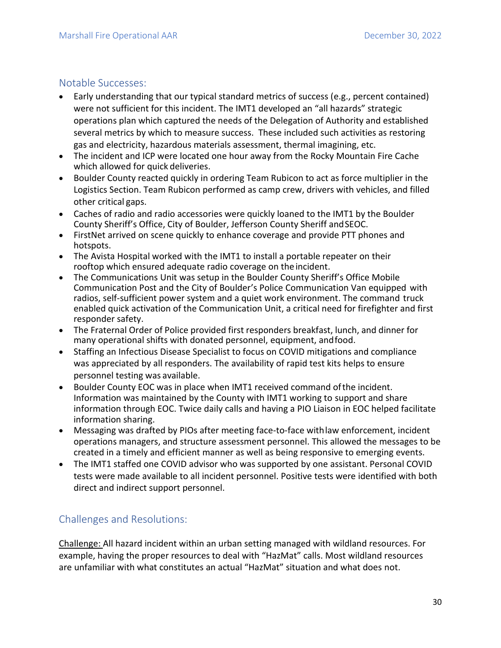#### <span id="page-30-0"></span>Notable Successes:

- Early understanding that our typical standard metrics of success (e.g., percent contained) were not sufficient for this incident. The IMT1 developed an "all hazards" strategic operations plan which captured the needs of the Delegation of Authority and established several metrics by which to measure success. These included such activities as restoring gas and electricity, hazardous materials assessment, thermal imagining, etc.
- The incident and ICP were located one hour away from the Rocky Mountain Fire Cache which allowed for quick deliveries.
- Boulder County reacted quickly in ordering Team Rubicon to act as force multiplier in the Logistics Section. Team Rubicon performed as camp crew, drivers with vehicles, and filled other critical gaps.
- Caches of radio and radio accessories were quickly loaned to the IMT1 by the Boulder County Sheriff's Office, City of Boulder, Jefferson County Sheriff andSEOC.
- FirstNet arrived on scene quickly to enhance coverage and provide PTT phones and hotspots.
- The Avista Hospital worked with the IMT1 to install a portable repeater on their rooftop which ensured adequate radio coverage on the incident.
- The Communications Unit was setup in the Boulder County Sheriff's Office Mobile Communication Post and the City of Boulder's Police Communication Van equipped with radios, self-sufficient power system and a quiet work environment. The command truck enabled quick activation of the Communication Unit, a critical need for firefighter and first responder safety.
- The Fraternal Order of Police provided first responders breakfast, lunch, and dinner for many operational shifts with donated personnel, equipment, andfood.
- Staffing an Infectious Disease Specialist to focus on COVID mitigations and compliance was appreciated by all responders. The availability of rapid test kits helps to ensure personnel testing was available.
- Boulder County EOC was in place when IMT1 received command ofthe incident. Information was maintained by the County with IMT1 working to support and share information through EOC. Twice daily calls and having a PIO Liaison in EOC helped facilitate information sharing.
- Messaging was drafted by PIOs after meeting face-to-face withlaw enforcement, incident operations managers, and structure assessment personnel. This allowed the messages to be created in a timely and efficient manner as well as being responsive to emerging events.
- The IMT1 staffed one COVID advisor who was supported by one assistant. Personal COVID tests were made available to all incident personnel. Positive tests were identified with both direct and indirect support personnel.

### <span id="page-30-1"></span>Challenges and Resolutions:

Challenge: All hazard incident within an urban setting managed with wildland resources. For example, having the proper resources to deal with "HazMat" calls. Most wildland resources are unfamiliar with what constitutes an actual "HazMat" situation and what does not.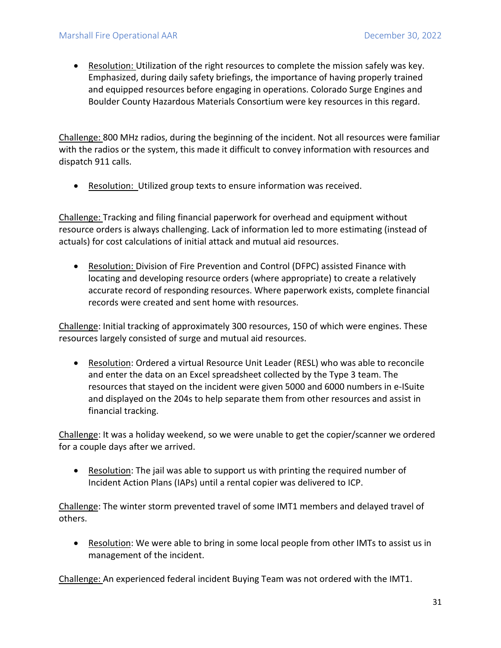• Resolution: Utilization of the right resources to complete the mission safely was key. Emphasized, during daily safety briefings, the importance of having properly trained and equipped resources before engaging in operations. Colorado Surge Engines and Boulder County Hazardous Materials Consortium were key resources in this regard.

Challenge: 800 MHz radios, during the beginning of the incident. Not all resources were familiar with the radios or the system, this made it difficult to convey information with resources and dispatch 911 calls.

• Resolution: Utilized group texts to ensure information was received.

Challenge: Tracking and filing financial paperwork for overhead and equipment without resource orders is always challenging. Lack of information led to more estimating (instead of actuals) for cost calculations of initial attack and mutual aid resources.

• Resolution: Division of Fire Prevention and Control (DFPC) assisted Finance with locating and developing resource orders (where appropriate) to create a relatively accurate record of responding resources. Where paperwork exists, complete financial records were created and sent home with resources.

Challenge: Initial tracking of approximately 300 resources, 150 of which were engines. These resources largely consisted of surge and mutual aid resources.

• Resolution: Ordered a virtual Resource Unit Leader (RESL) who was able to reconcile and enter the data on an Excel spreadsheet collected by the Type 3 team. The resources that stayed on the incident were given 5000 and 6000 numbers in e-ISuite and displayed on the 204s to help separate them from other resources and assist in financial tracking.

Challenge: It was a holiday weekend, so we were unable to get the copier/scanner we ordered for a couple days after we arrived.

• Resolution: The jail was able to support us with printing the required number of Incident Action Plans (IAPs) until a rental copier was delivered to ICP.

Challenge: The winter storm prevented travel of some IMT1 members and delayed travel of others.

• Resolution: We were able to bring in some local people from other IMTs to assist us in management of the incident.

Challenge: An experienced federal incident Buying Team was not ordered with the IMT1.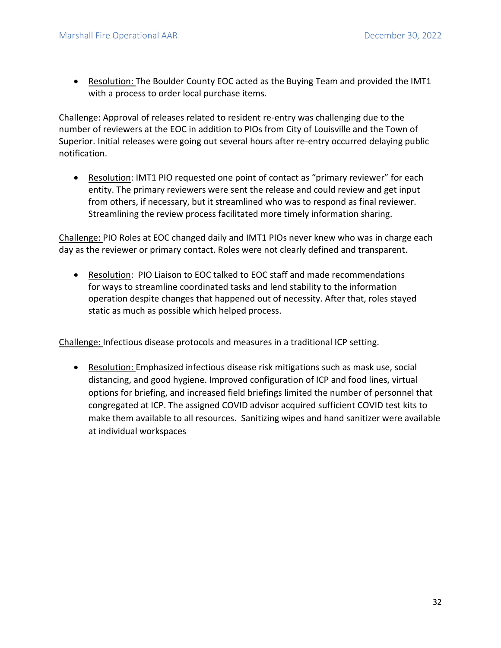• Resolution: The Boulder County EOC acted as the Buying Team and provided the IMT1 with a process to order local purchase items.

Challenge: Approval of releases related to resident re-entry was challenging due to the number of reviewers at the EOC in addition to PIOs from City of Louisville and the Town of Superior. Initial releases were going out several hours after re-entry occurred delaying public notification.

• Resolution: IMT1 PIO requested one point of contact as "primary reviewer" for each entity. The primary reviewers were sent the release and could review and get input from others, if necessary, but it streamlined who was to respond as final reviewer. Streamlining the review process facilitated more timely information sharing.

Challenge: PIO Roles at EOC changed daily and IMT1 PIOs never knew who was in charge each day as the reviewer or primary contact. Roles were not clearly defined and transparent.

• Resolution: PIO Liaison to EOC talked to EOC staff and made recommendations for ways to streamline coordinated tasks and lend stability to the information operation despite changes that happened out of necessity. After that, roles stayed static as much as possible which helped process.

Challenge: Infectious disease protocols and measures in a traditional ICP setting.

• Resolution: Emphasized infectious disease risk mitigations such as mask use, social distancing, and good hygiene. Improved configuration of ICP and food lines, virtual options for briefing, and increased field briefings limited the number of personnel that congregated at ICP. The assigned COVID advisor acquired sufficient COVID test kits to make them available to all resources. Sanitizing wipes and hand sanitizer were available at individual workspaces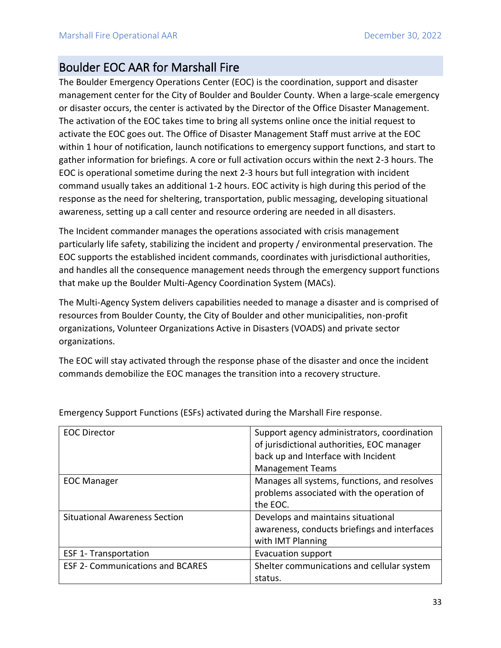## <span id="page-33-0"></span>Boulder EOC AAR for Marshall Fire

The Boulder Emergency Operations Center (EOC) is the coordination, support and disaster management center for the City of Boulder and Boulder County. When a large-scale emergency or disaster occurs, the center is activated by the Director of the Office Disaster Management. The activation of the EOC takes time to bring all systems online once the initial request to activate the EOC goes out. The Office of Disaster Management Staff must arrive at the EOC within 1 hour of notification, launch notifications to emergency support functions, and start to gather information for briefings. A core or full activation occurs within the next 2-3 hours. The EOC is operational sometime during the next 2-3 hours but full integration with incident command usually takes an additional 1-2 hours. EOC activity is high during this period of the response as the need for sheltering, transportation, public messaging, developing situational awareness, setting up a call center and resource ordering are needed in all disasters.

The Incident commander manages the operations associated with crisis management particularly life safety, stabilizing the incident and property / environmental preservation. The EOC supports the established incident commands, coordinates with jurisdictional authorities, and handles all the consequence management needs through the emergency support functions that make up the Boulder Multi-Agency Coordination System (MACs).

The Multi-Agency System delivers capabilities needed to manage a disaster and is comprised of resources from Boulder County, the City of Boulder and other municipalities, non-profit organizations, Volunteer Organizations Active in Disasters (VOADS) and private sector organizations.

The EOC will stay activated through the response phase of the disaster and once the incident commands demobilize the EOC manages the transition into a recovery structure.

| <b>EOC Director</b>                     | Support agency administrators, coordination  |
|-----------------------------------------|----------------------------------------------|
|                                         | of jurisdictional authorities, EOC manager   |
|                                         | back up and Interface with Incident          |
|                                         | <b>Management Teams</b>                      |
| <b>EOC Manager</b>                      | Manages all systems, functions, and resolves |
|                                         | problems associated with the operation of    |
|                                         | the EOC.                                     |
| <b>Situational Awareness Section</b>    | Develops and maintains situational           |
|                                         | awareness, conducts briefings and interfaces |
|                                         | with IMT Planning                            |
| <b>ESF 1- Transportation</b>            | <b>Evacuation support</b>                    |
| <b>ESF 2- Communications and BCARES</b> | Shelter communications and cellular system   |
|                                         | status.                                      |

Emergency Support Functions (ESFs) activated during the Marshall Fire response.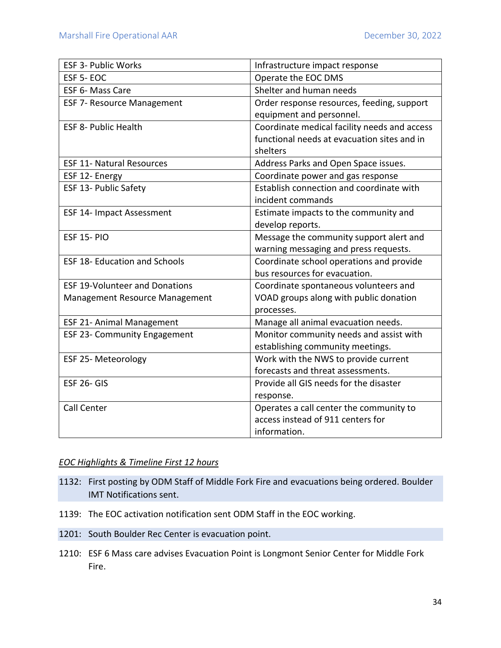| <b>ESF 3- Public Works</b>            | Infrastructure impact response               |
|---------------------------------------|----------------------------------------------|
| ESF 5-EOC                             | Operate the EOC DMS                          |
| ESF 6- Mass Care                      | Shelter and human needs                      |
| <b>ESF 7- Resource Management</b>     | Order response resources, feeding, support   |
|                                       | equipment and personnel.                     |
| <b>ESF 8- Public Health</b>           | Coordinate medical facility needs and access |
|                                       | functional needs at evacuation sites and in  |
|                                       | shelters                                     |
| <b>ESF 11- Natural Resources</b>      | Address Parks and Open Space issues.         |
| ESF 12- Energy                        | Coordinate power and gas response            |
| ESF 13- Public Safety                 | Establish connection and coordinate with     |
|                                       | incident commands                            |
| <b>ESF 14- Impact Assessment</b>      | Estimate impacts to the community and        |
|                                       | develop reports.                             |
| <b>ESF 15-PIO</b>                     | Message the community support alert and      |
|                                       | warning messaging and press requests.        |
| <b>ESF 18- Education and Schools</b>  | Coordinate school operations and provide     |
|                                       | bus resources for evacuation.                |
| <b>ESF 19-Volunteer and Donations</b> | Coordinate spontaneous volunteers and        |
| Management Resource Management        | VOAD groups along with public donation       |
|                                       | processes.                                   |
| ESF 21- Animal Management             | Manage all animal evacuation needs.          |
| <b>ESF 23- Community Engagement</b>   | Monitor community needs and assist with      |
|                                       | establishing community meetings.             |
| ESF 25- Meteorology                   | Work with the NWS to provide current         |
|                                       | forecasts and threat assessments.            |
| <b>ESF 26- GIS</b>                    | Provide all GIS needs for the disaster       |
|                                       | response.                                    |
| <b>Call Center</b>                    | Operates a call center the community to      |
|                                       | access instead of 911 centers for            |
|                                       | information.                                 |

#### *EOC Highlights & Timeline First 12 hours*

- 1132: First posting by ODM Staff of Middle Fork Fire and evacuations being ordered. Boulder IMT Notifications sent.
- 1139: The EOC activation notification sent ODM Staff in the EOC working.
- 1201: South Boulder Rec Center is evacuation point.
- 1210: ESF 6 Mass care advises Evacuation Point is Longmont Senior Center for Middle Fork Fire.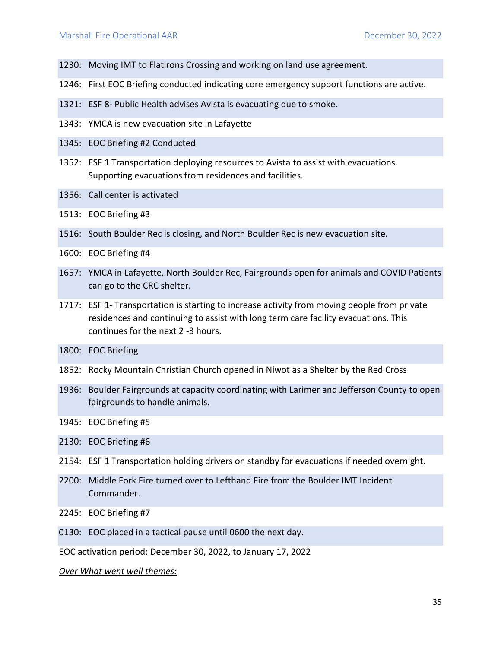- 1230: Moving IMT to Flatirons Crossing and working on land use agreement.
- 1246: First EOC Briefing conducted indicating core emergency support functions are active.
- 1321: ESF 8- Public Health advises Avista is evacuating due to smoke.
- 1343: YMCA is new evacuation site in Lafayette
- 1345: EOC Briefing #2 Conducted
- 1352: ESF 1 Transportation deploying resources to Avista to assist with evacuations. Supporting evacuations from residences and facilities.
- 1356: Call center is activated
- 1513: EOC Briefing #3
- 1516: South Boulder Rec is closing, and North Boulder Rec is new evacuation site.
- 1600: EOC Briefing #4
- 1657: YMCA in Lafayette, North Boulder Rec, Fairgrounds open for animals and COVID Patients can go to the CRC shelter.
- 1717: ESF 1- Transportation is starting to increase activity from moving people from private residences and continuing to assist with long term care facility evacuations. This continues for the next 2 -3 hours.
- 1800: EOC Briefing
- 1852: Rocky Mountain Christian Church opened in Niwot as a Shelter by the Red Cross
- 1936: Boulder Fairgrounds at capacity coordinating with Larimer and Jefferson County to open fairgrounds to handle animals.
- 1945: EOC Briefing #5
- 2130: EOC Briefing #6
- 2154: ESF 1 Transportation holding drivers on standby for evacuations if needed overnight.
- 2200: Middle Fork Fire turned over to Lefthand Fire from the Boulder IMT Incident Commander.
- 2245: EOC Briefing #7
- 0130: EOC placed in a tactical pause until 0600 the next day.

EOC activation period: December 30, 2022, to January 17, 2022

*Over What went well themes:*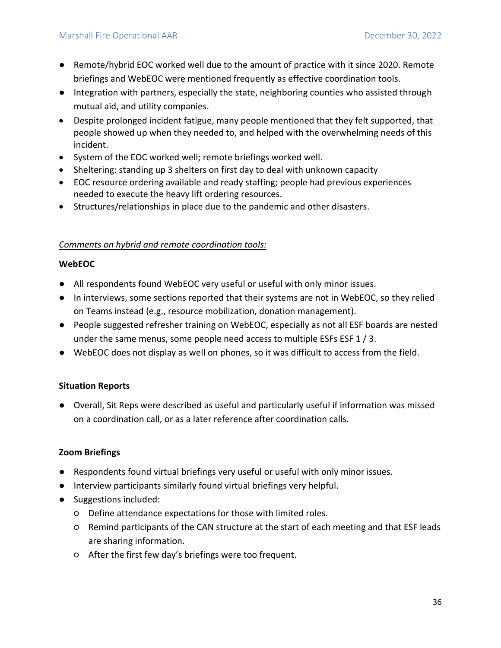- Remote/hybrid EOC worked well due to the amount of practice with it since 2020. Remote briefings and WebEOC were mentioned frequently as effective coordination tools.
- Integration with partners, especially the state, neighboring counties who assisted through mutual aid, and utility companies.
- Despite prolonged incident fatigue, many people mentioned that they felt supported, that people showed up when they needed to, and helped with the overwhelming needs of this incident.
- System of the EOC worked well; remote briefings worked well.
- Sheltering: standing up 3 shelters on first day to deal with unknown capacity
- EOC resource ordering available and ready staffing; people had previous experiences needed to execute the heavy lift ordering resources.
- Structures/relationships in place due to the pandemic and other disasters.

#### *Comments on hybrid and remote coordination tools:*

#### **WebEOC**

- All respondents found WebEOC very useful or useful with only minor issues.
- In interviews, some sections reported that their systems are not in WebEOC, so they relied on Teams instead (e.g., resource mobilization, donation management).
- People suggested refresher training on WebEOC, especially as not all ESF boards are nested under the same menus, some people need access to multiple ESFs ESF 1 / 3.
- WebEOC does not display as well on phones, so it was difficult to access from the field.

#### **Situation Reports**

● Overall, Sit Reps were described as useful and particularly useful if information was missed on a coordination call, or as a later reference after coordination calls.

#### **Zoom Briefings**

- Respondents found virtual briefings very useful or useful with only minor issues.
- Interview participants similarly found virtual briefings very helpful.
- Suggestions included:
	- Define attendance expectations for those with limited roles.
	- Remind participants of the CAN structure at the start of each meeting and that ESF leads are sharing information.
	- After the first few day's briefings were too frequent.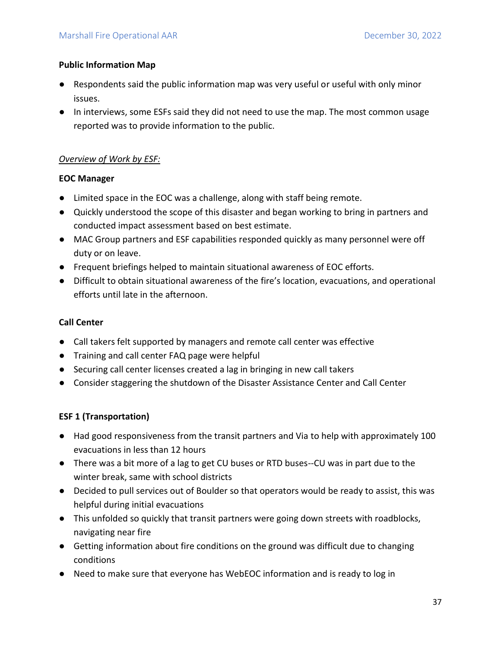#### **Public Information Map**

- Respondents said the public information map was very useful or useful with only minor issues.
- In interviews, some ESFs said they did not need to use the map. The most common usage reported was to provide information to the public.

#### *Overview of Work by ESF:*

#### **EOC Manager**

- Limited space in the EOC was a challenge, along with staff being remote.
- Quickly understood the scope of this disaster and began working to bring in partners and conducted impact assessment based on best estimate.
- MAC Group partners and ESF capabilities responded quickly as many personnel were off duty or on leave.
- Frequent briefings helped to maintain situational awareness of EOC efforts.
- Difficult to obtain situational awareness of the fire's location, evacuations, and operational efforts until late in the afternoon.

#### **Call Center**

- Call takers felt supported by managers and remote call center was effective
- Training and call center FAQ page were helpful
- Securing call center licenses created a lag in bringing in new call takers
- Consider staggering the shutdown of the Disaster Assistance Center and Call Center

#### **ESF 1 (Transportation)**

- Had good responsiveness from the transit partners and Via to help with approximately 100 evacuations in less than 12 hours
- There was a bit more of a lag to get CU buses or RTD buses--CU was in part due to the winter break, same with school districts
- Decided to pull services out of Boulder so that operators would be ready to assist, this was helpful during initial evacuations
- This unfolded so quickly that transit partners were going down streets with roadblocks, navigating near fire
- Getting information about fire conditions on the ground was difficult due to changing conditions
- Need to make sure that everyone has WebEOC information and is ready to log in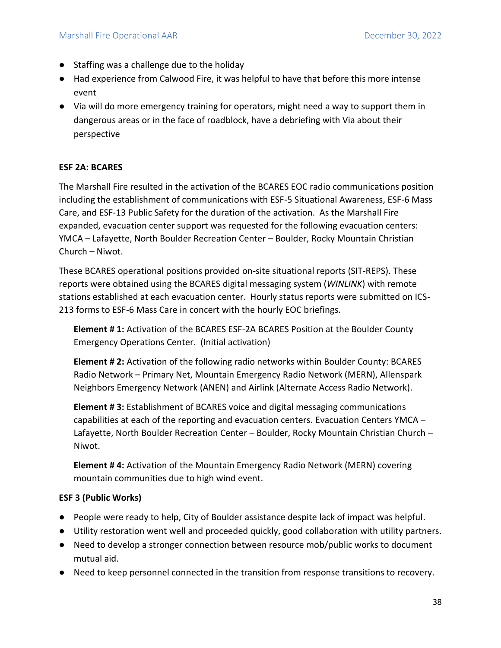- Staffing was a challenge due to the holiday
- Had experience from Calwood Fire, it was helpful to have that before this more intense event
- Via will do more emergency training for operators, might need a way to support them in dangerous areas or in the face of roadblock, have a debriefing with Via about their perspective

#### **ESF 2A: BCARES**

The Marshall Fire resulted in the activation of the BCARES EOC radio communications position including the establishment of communications with ESF-5 Situational Awareness, ESF-6 Mass Care, and ESF-13 Public Safety for the duration of the activation. As the Marshall Fire expanded, evacuation center support was requested for the following evacuation centers: YMCA – Lafayette, North Boulder Recreation Center – Boulder, Rocky Mountain Christian Church – Niwot.

These BCARES operational positions provided on-site situational reports (SIT-REPS). These reports were obtained using the BCARES digital messaging system (*WINLINK*) with remote stations established at each evacuation center. Hourly status reports were submitted on ICS-213 forms to ESF-6 Mass Care in concert with the hourly EOC briefings.

**Element # 1:** Activation of the BCARES ESF-2A BCARES Position at the Boulder County Emergency Operations Center. (Initial activation)

**Element # 2:** Activation of the following radio networks within Boulder County: BCARES Radio Network – Primary Net, Mountain Emergency Radio Network (MERN), Allenspark Neighbors Emergency Network (ANEN) and Airlink (Alternate Access Radio Network).

**Element # 3:** Establishment of BCARES voice and digital messaging communications capabilities at each of the reporting and evacuation centers. Evacuation Centers YMCA – Lafayette, North Boulder Recreation Center – Boulder, Rocky Mountain Christian Church – Niwot.

**Element # 4:** Activation of the Mountain Emergency Radio Network (MERN) covering mountain communities due to high wind event.

#### **ESF 3 (Public Works)**

- People were ready to help, City of Boulder assistance despite lack of impact was helpful.
- Utility restoration went well and proceeded quickly, good collaboration with utility partners.
- Need to develop a stronger connection between resource mob/public works to document mutual aid.
- Need to keep personnel connected in the transition from response transitions to recovery.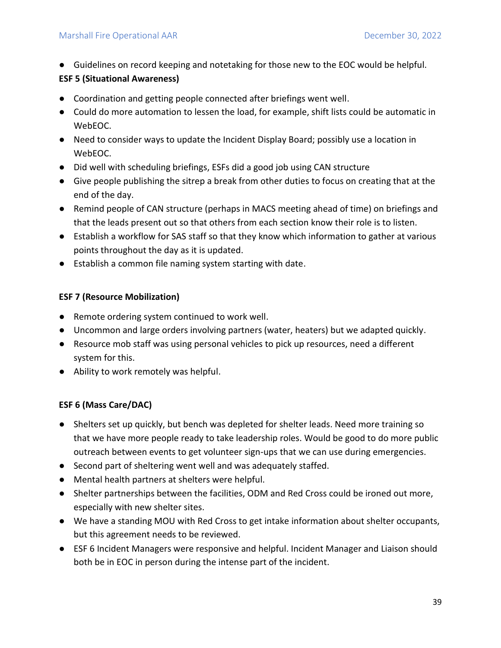● Guidelines on record keeping and notetaking for those new to the EOC would be helpful.

#### **ESF 5 (Situational Awareness)**

- Coordination and getting people connected after briefings went well.
- Could do more automation to lessen the load, for example, shift lists could be automatic in WebEOC.
- Need to consider ways to update the Incident Display Board; possibly use a location in WebEOC.
- Did well with scheduling briefings, ESFs did a good job using CAN structure
- Give people publishing the sitrep a break from other duties to focus on creating that at the end of the day.
- Remind people of CAN structure (perhaps in MACS meeting ahead of time) on briefings and that the leads present out so that others from each section know their role is to listen.
- Establish a workflow for SAS staff so that they know which information to gather at various points throughout the day as it is updated.
- Establish a common file naming system starting with date.

#### **ESF 7 (Resource Mobilization)**

- Remote ordering system continued to work well.
- Uncommon and large orders involving partners (water, heaters) but we adapted quickly.
- Resource mob staff was using personal vehicles to pick up resources, need a different system for this.
- Ability to work remotely was helpful.

#### **ESF 6 (Mass Care/DAC)**

- Shelters set up quickly, but bench was depleted for shelter leads. Need more training so that we have more people ready to take leadership roles. Would be good to do more public outreach between events to get volunteer sign-ups that we can use during emergencies.
- Second part of sheltering went well and was adequately staffed.
- Mental health partners at shelters were helpful.
- Shelter partnerships between the facilities, ODM and Red Cross could be ironed out more, especially with new shelter sites.
- We have a standing MOU with Red Cross to get intake information about shelter occupants, but this agreement needs to be reviewed.
- ESF 6 Incident Managers were responsive and helpful. Incident Manager and Liaison should both be in EOC in person during the intense part of the incident.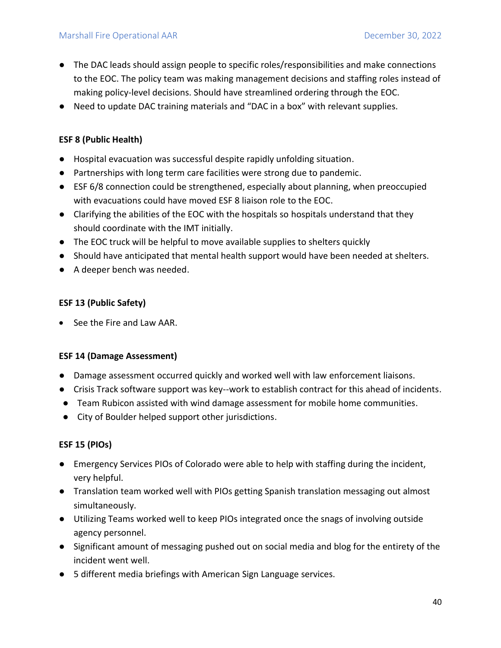- The DAC leads should assign people to specific roles/responsibilities and make connections to the EOC. The policy team was making management decisions and staffing roles instead of making policy-level decisions. Should have streamlined ordering through the EOC.
- Need to update DAC training materials and "DAC in a box" with relevant supplies.

#### **ESF 8 (Public Health)**

- Hospital evacuation was successful despite rapidly unfolding situation.
- Partnerships with long term care facilities were strong due to pandemic.
- ESF 6/8 connection could be strengthened, especially about planning, when preoccupied with evacuations could have moved ESF 8 liaison role to the EOC.
- Clarifying the abilities of the EOC with the hospitals so hospitals understand that they should coordinate with the IMT initially.
- The EOC truck will be helpful to move available supplies to shelters quickly
- Should have anticipated that mental health support would have been needed at shelters.
- A deeper bench was needed.

#### **ESF 13 (Public Safety)**

• See the Fire and Law AAR.

#### **ESF 14 (Damage Assessment)**

- Damage assessment occurred quickly and worked well with law enforcement liaisons.
- Crisis Track software support was key--work to establish contract for this ahead of incidents.
- Team Rubicon assisted with wind damage assessment for mobile home communities.
- City of Boulder helped support other jurisdictions.

#### **ESF 15 (PIOs)**

- Emergency Services PIOs of Colorado were able to help with staffing during the incident, very helpful.
- Translation team worked well with PIOs getting Spanish translation messaging out almost simultaneously.
- Utilizing Teams worked well to keep PIOs integrated once the snags of involving outside agency personnel.
- Significant amount of messaging pushed out on social media and blog for the entirety of the incident went well.
- 5 different media briefings with American Sign Language services.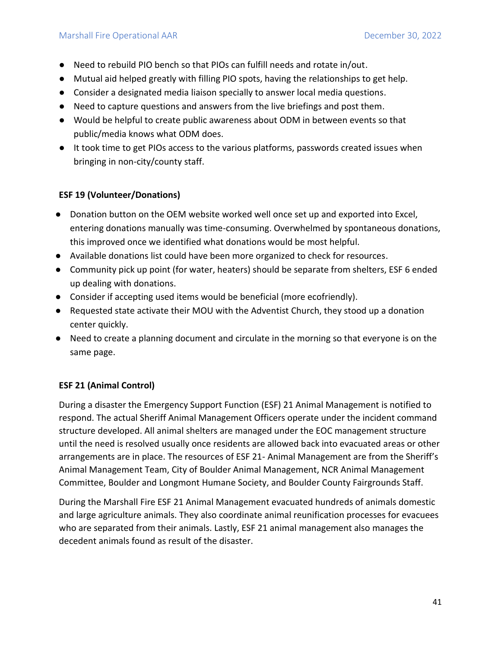- Need to rebuild PIO bench so that PIOs can fulfill needs and rotate in/out.
- Mutual aid helped greatly with filling PIO spots, having the relationships to get help.
- Consider a designated media liaison specially to answer local media questions.
- Need to capture questions and answers from the live briefings and post them.
- Would be helpful to create public awareness about ODM in between events so that public/media knows what ODM does.
- It took time to get PIOs access to the various platforms, passwords created issues when bringing in non-city/county staff.

#### **ESF 19 (Volunteer/Donations)**

- Donation button on the OEM website worked well once set up and exported into Excel, entering donations manually was time-consuming. Overwhelmed by spontaneous donations, this improved once we identified what donations would be most helpful.
- Available donations list could have been more organized to check for resources.
- Community pick up point (for water, heaters) should be separate from shelters, ESF 6 ended up dealing with donations.
- Consider if accepting used items would be beneficial (more ecofriendly).
- Requested state activate their MOU with the Adventist Church, they stood up a donation center quickly.
- Need to create a planning document and circulate in the morning so that everyone is on the same page.

#### **ESF 21 (Animal Control)**

During a disaster the Emergency Support Function (ESF) 21 Animal Management is notified to respond. The actual Sheriff Animal Management Officers operate under the incident command structure developed. All animal shelters are managed under the EOC management structure until the need is resolved usually once residents are allowed back into evacuated areas or other arrangements are in place. The resources of ESF 21- Animal Management are from the Sheriff's Animal Management Team, City of Boulder Animal Management, NCR Animal Management Committee, Boulder and Longmont Humane Society, and Boulder County Fairgrounds Staff.

During the Marshall Fire ESF 21 Animal Management evacuated hundreds of animals domestic and large agriculture animals. They also coordinate animal reunification processes for evacuees who are separated from their animals. Lastly, ESF 21 animal management also manages the decedent animals found as result of the disaster.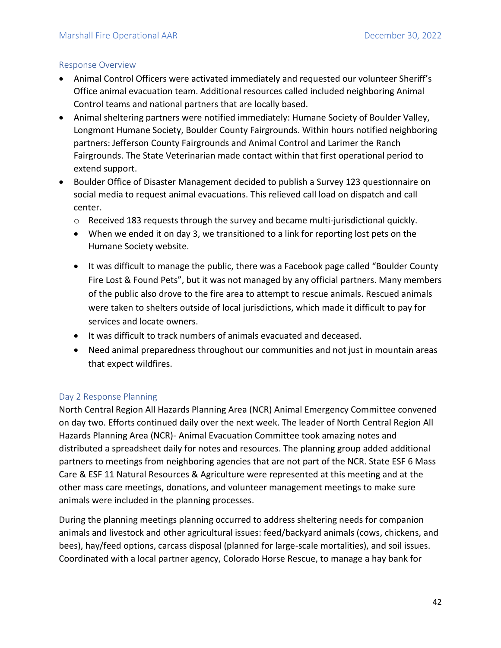#### Response Overview

- Animal Control Officers were activated immediately and requested our volunteer Sheriff's Office animal evacuation team. Additional resources called included neighboring Animal Control teams and national partners that are locally based.
- Animal sheltering partners were notified immediately: Humane Society of Boulder Valley, Longmont Humane Society, Boulder County Fairgrounds. Within hours notified neighboring partners: Jefferson County Fairgrounds and Animal Control and Larimer the Ranch Fairgrounds. The State Veterinarian made contact within that first operational period to extend support.
- Boulder Office of Disaster Management decided to publish a Survey 123 questionnaire on social media to request animal evacuations. This relieved call load on dispatch and call center.
	- o Received 183 requests through the survey and became multi-jurisdictional quickly.
	- When we ended it on day 3, we transitioned to a link for reporting lost pets on the Humane Society website.
	- It was difficult to manage the public, there was a Facebook page called "Boulder County Fire Lost & Found Pets", but it was not managed by any official partners. Many members of the public also drove to the fire area to attempt to rescue animals. Rescued animals were taken to shelters outside of local jurisdictions, which made it difficult to pay for services and locate owners.
	- It was difficult to track numbers of animals evacuated and deceased.
	- Need animal preparedness throughout our communities and not just in mountain areas that expect wildfires.

#### Day 2 Response Planning

North Central Region All Hazards Planning Area (NCR) Animal Emergency Committee convened on day two. Efforts continued daily over the next week. The leader of North Central Region All Hazards Planning Area (NCR)- Animal Evacuation Committee took amazing notes and distributed a spreadsheet daily for notes and resources. The planning group added additional partners to meetings from neighboring agencies that are not part of the NCR. State ESF 6 Mass Care & ESF 11 Natural Resources & Agriculture were represented at this meeting and at the other mass care meetings, donations, and volunteer management meetings to make sure animals were included in the planning processes.

During the planning meetings planning occurred to address sheltering needs for companion animals and livestock and other agricultural issues: feed/backyard animals (cows, chickens, and bees), hay/feed options, carcass disposal (planned for large-scale mortalities), and soil issues. Coordinated with a local partner agency, Colorado Horse Rescue, to manage a hay bank for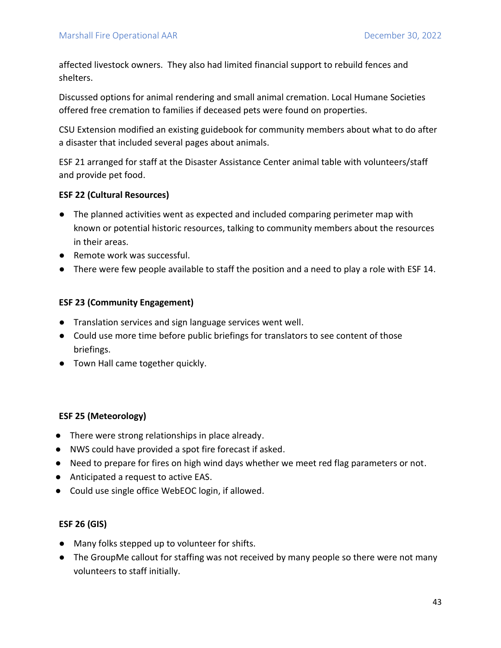affected livestock owners. They also had limited financial support to rebuild fences and shelters.

Discussed options for animal rendering and small animal cremation. Local Humane Societies offered free cremation to families if deceased pets were found on properties.

CSU Extension modified an existing guidebook for community members about what to do after a disaster that included several pages about animals.

ESF 21 arranged for staff at the Disaster Assistance Center animal table with volunteers/staff and provide pet food.

#### **ESF 22 (Cultural Resources)**

- The planned activities went as expected and included comparing perimeter map with known or potential historic resources, talking to community members about the resources in their areas.
- Remote work was successful.
- There were few people available to staff the position and a need to play a role with ESF 14.

#### **ESF 23 (Community Engagement)**

- Translation services and sign language services went well.
- Could use more time before public briefings for translators to see content of those briefings.
- Town Hall came together quickly.

#### **ESF 25 (Meteorology)**

- There were strong relationships in place already.
- NWS could have provided a spot fire forecast if asked.
- Need to prepare for fires on high wind days whether we meet red flag parameters or not.
- Anticipated a request to active EAS.
- Could use single office WebEOC login, if allowed.

#### **ESF 26 (GIS)**

- Many folks stepped up to volunteer for shifts.
- The GroupMe callout for staffing was not received by many people so there were not many volunteers to staff initially.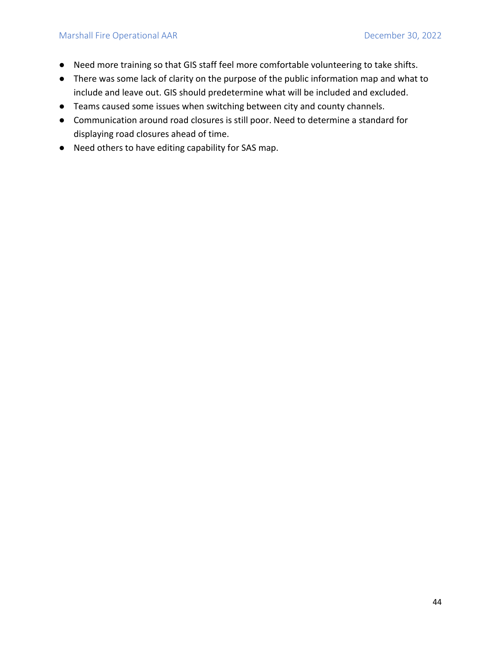- Need more training so that GIS staff feel more comfortable volunteering to take shifts.
- There was some lack of clarity on the purpose of the public information map and what to include and leave out. GIS should predetermine what will be included and excluded.
- Teams caused some issues when switching between city and county channels.
- Communication around road closures is still poor. Need to determine a standard for displaying road closures ahead of time.
- Need others to have editing capability for SAS map.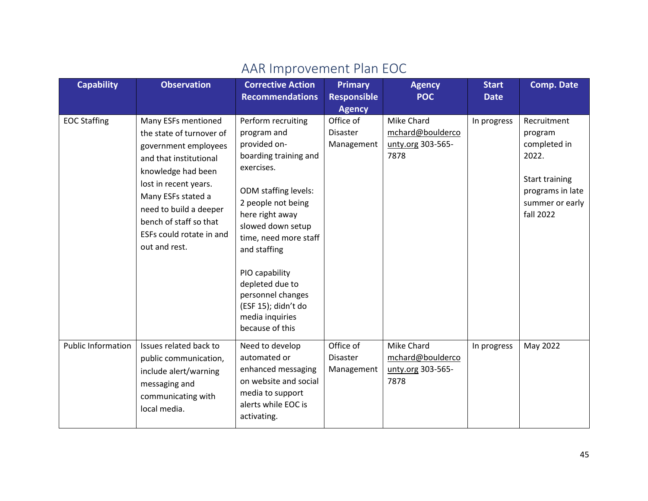<span id="page-45-0"></span>

| <b>Capability</b>         | <b>Observation</b>                                                                                                                                                                                                                                                      | <b>Corrective Action</b><br><b>Recommendations</b>                                                                                                                                                                                                                  | <b>Primary</b><br><b>Responsible</b>                        | <b>Agency</b><br><b>POC</b>                                 | <b>Start</b><br><b>Date</b> | <b>Comp. Date</b>                                                                                                            |
|---------------------------|-------------------------------------------------------------------------------------------------------------------------------------------------------------------------------------------------------------------------------------------------------------------------|---------------------------------------------------------------------------------------------------------------------------------------------------------------------------------------------------------------------------------------------------------------------|-------------------------------------------------------------|-------------------------------------------------------------|-----------------------------|------------------------------------------------------------------------------------------------------------------------------|
| <b>EOC Staffing</b>       | Many ESFs mentioned<br>the state of turnover of<br>government employees<br>and that institutional<br>knowledge had been<br>lost in recent years.<br>Many ESFs stated a<br>need to build a deeper<br>bench of staff so that<br>ESFs could rotate in and<br>out and rest. | Perform recruiting<br>program and<br>provided on-<br>boarding training and<br>exercises.<br><b>ODM</b> staffing levels:<br>2 people not being<br>here right away<br>slowed down setup<br>time, need more staff<br>and staffing<br>PIO capability<br>depleted due to | <b>Agency</b><br>Office of<br><b>Disaster</b><br>Management | Mike Chard<br>mchard@boulderco<br>unty.org 303-565-<br>7878 | In progress                 | Recruitment<br>program<br>completed in<br>2022.<br><b>Start training</b><br>programs in late<br>summer or early<br>fall 2022 |
| <b>Public Information</b> | Issues related back to<br>public communication,<br>include alert/warning                                                                                                                                                                                                | personnel changes<br>(ESF 15); didn't do<br>media inquiries<br>because of this<br>Need to develop<br>automated or<br>enhanced messaging                                                                                                                             | Office of<br><b>Disaster</b><br>Management                  | Mike Chard<br>mchard@boulderco<br>unty.org 303-565-         | In progress                 | May 2022                                                                                                                     |
|                           | messaging and<br>communicating with<br>local media.                                                                                                                                                                                                                     | on website and social<br>media to support<br>alerts while EOC is<br>activating.                                                                                                                                                                                     |                                                             | 7878                                                        |                             |                                                                                                                              |

## AAR Improvement Plan EOC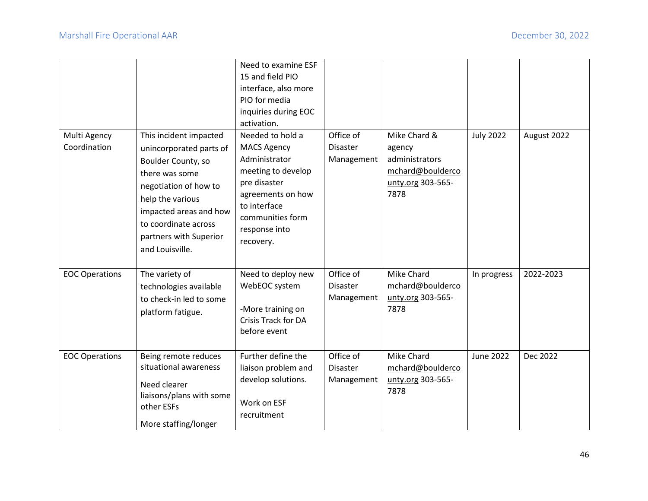|                              |                                                                                                                                                                                                                                       | Need to examine ESF<br>15 and field PIO<br>interface, also more<br>PIO for media<br>inquiries during EOC<br>activation.                                                              |                                            |                                                                                           |                  |             |
|------------------------------|---------------------------------------------------------------------------------------------------------------------------------------------------------------------------------------------------------------------------------------|--------------------------------------------------------------------------------------------------------------------------------------------------------------------------------------|--------------------------------------------|-------------------------------------------------------------------------------------------|------------------|-------------|
| Multi Agency<br>Coordination | This incident impacted<br>unincorporated parts of<br>Boulder County, so<br>there was some<br>negotiation of how to<br>help the various<br>impacted areas and how<br>to coordinate across<br>partners with Superior<br>and Louisville. | Needed to hold a<br><b>MACS Agency</b><br>Administrator<br>meeting to develop<br>pre disaster<br>agreements on how<br>to interface<br>communities form<br>response into<br>recovery. | Office of<br><b>Disaster</b><br>Management | Mike Chard &<br>agency<br>administrators<br>mchard@boulderco<br>unty.org 303-565-<br>7878 | <b>July 2022</b> | August 2022 |
| <b>EOC Operations</b>        | The variety of<br>technologies available<br>to check-in led to some<br>platform fatigue.                                                                                                                                              | Need to deploy new<br>WebEOC system<br>-More training on<br><b>Crisis Track for DA</b><br>before event                                                                               | Office of<br><b>Disaster</b><br>Management | Mike Chard<br>mchard@boulderco<br>unty.org 303-565-<br>7878                               | In progress      | 2022-2023   |
| <b>EOC Operations</b>        | Being remote reduces<br>situational awareness<br>Need clearer<br>liaisons/plans with some<br>other ESFs<br>More staffing/longer                                                                                                       | Further define the<br>liaison problem and<br>develop solutions.<br>Work on ESF<br>recruitment                                                                                        | Office of<br><b>Disaster</b><br>Management | <b>Mike Chard</b><br>mchard@boulderco<br>unty.org 303-565-<br>7878                        | <b>June 2022</b> | Dec 2022    |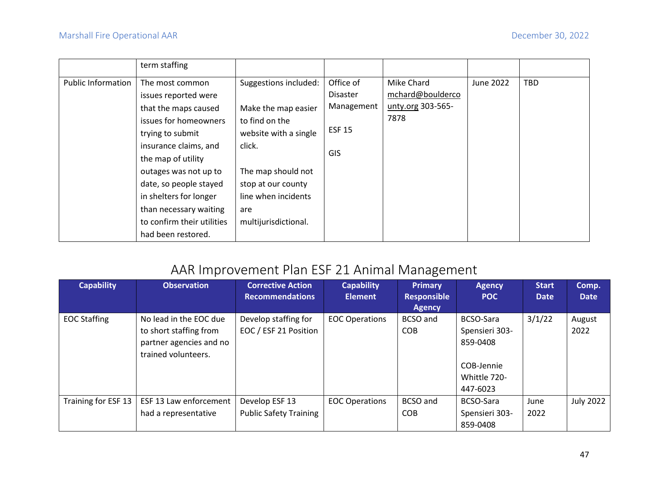|                           | term staffing              |                       |                 |                   |           |            |
|---------------------------|----------------------------|-----------------------|-----------------|-------------------|-----------|------------|
| <b>Public Information</b> | The most common            | Suggestions included: | Office of       | Mike Chard        | June 2022 | <b>TBD</b> |
|                           | issues reported were       |                       | <b>Disaster</b> | mchard@boulderco  |           |            |
|                           | that the maps caused       | Make the map easier   | Management      | unty.org 303-565- |           |            |
|                           | issues for homeowners      | to find on the        |                 | 7878              |           |            |
|                           | trying to submit           | website with a single | <b>ESF 15</b>   |                   |           |            |
|                           | insurance claims, and      | click.                |                 |                   |           |            |
|                           | the map of utility         |                       | GIS             |                   |           |            |
|                           | outages was not up to      | The map should not    |                 |                   |           |            |
|                           | date, so people stayed     | stop at our county    |                 |                   |           |            |
|                           | in shelters for longer     | line when incidents   |                 |                   |           |            |
|                           | than necessary waiting     | are                   |                 |                   |           |            |
|                           | to confirm their utilities | multijurisdictional.  |                 |                   |           |            |
|                           | had been restored.         |                       |                 |                   |           |            |

## AAR Improvement Plan ESF 21 Animal Management

<span id="page-47-0"></span>

| <b>Capability</b>   | <b>Observation</b>                                                                                 | <b>Corrective Action</b><br><b>Recommendations</b> | <b>Capability</b><br><b>Element</b> | <b>Primary</b><br><b>Responsible</b><br><b>Agency</b> | <b>Agency</b><br><b>POC</b>                                                       | <b>Start</b><br><b>Date</b> | Comp.<br><b>Date</b> |
|---------------------|----------------------------------------------------------------------------------------------------|----------------------------------------------------|-------------------------------------|-------------------------------------------------------|-----------------------------------------------------------------------------------|-----------------------------|----------------------|
| <b>EOC Staffing</b> | No lead in the EOC due<br>to short staffing from<br>partner agencies and no<br>trained volunteers. | Develop staffing for<br>EOC / ESF 21 Position      | <b>EOC Operations</b>               | BCSO and<br><b>COB</b>                                | BCSO-Sara<br>Spensieri 303-<br>859-0408<br>COB-Jennie<br>Whittle 720-<br>447-6023 | 3/1/22                      | August<br>2022       |
| Training for ESF 13 | ESF 13 Law enforcement<br>had a representative                                                     | Develop ESF 13<br><b>Public Safety Training</b>    | <b>EOC Operations</b>               | <b>BCSO and</b><br><b>COB</b>                         | BCSO-Sara<br>Spensieri 303-<br>859-0408                                           | June<br>2022                | <b>July 2022</b>     |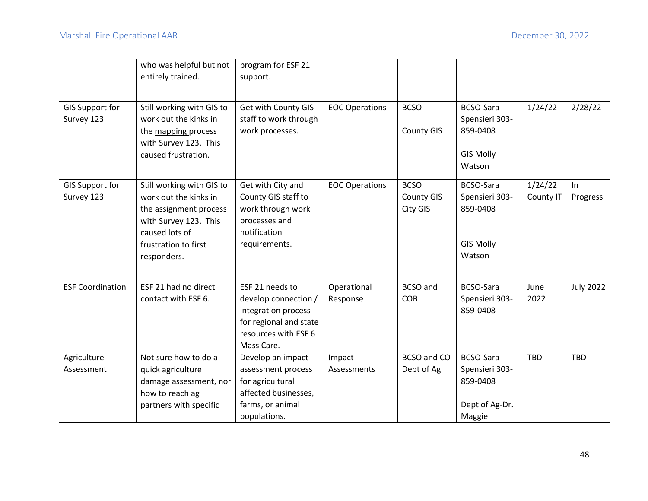|                                      | who was helpful but not<br>entirely trained.                                                                                                                   | program for ESF 21<br>support.                                                                                                 |                         |                                              |                                                                              |                      |                  |
|--------------------------------------|----------------------------------------------------------------------------------------------------------------------------------------------------------------|--------------------------------------------------------------------------------------------------------------------------------|-------------------------|----------------------------------------------|------------------------------------------------------------------------------|----------------------|------------------|
| <b>GIS Support for</b><br>Survey 123 | Still working with GIS to<br>work out the kinks in<br>the mapping process<br>with Survey 123. This<br>caused frustration.                                      | Get with County GIS<br>staff to work through<br>work processes.                                                                | <b>EOC Operations</b>   | <b>BCSO</b><br><b>County GIS</b>             | <b>BCSO-Sara</b><br>Spensieri 303-<br>859-0408<br><b>GIS Molly</b><br>Watson | 1/24/22              | 2/28/22          |
| <b>GIS Support for</b><br>Survey 123 | Still working with GIS to<br>work out the kinks in<br>the assignment process<br>with Survey 123. This<br>caused lots of<br>frustration to first<br>responders. | Get with City and<br>County GIS staff to<br>work through work<br>processes and<br>notification<br>requirements.                | <b>EOC Operations</b>   | <b>BCSO</b><br><b>County GIS</b><br>City GIS | BCSO-Sara<br>Spensieri 303-<br>859-0408<br><b>GIS Molly</b><br>Watson        | 1/24/22<br>County IT | In<br>Progress   |
| <b>ESF Coordination</b>              | ESF 21 had no direct<br>contact with ESF 6.                                                                                                                    | ESF 21 needs to<br>develop connection /<br>integration process<br>for regional and state<br>resources with ESF 6<br>Mass Care. | Operational<br>Response | <b>BCSO</b> and<br><b>COB</b>                | <b>BCSO-Sara</b><br>Spensieri 303-<br>859-0408                               | June<br>2022         | <b>July 2022</b> |
| Agriculture<br>Assessment            | Not sure how to do a<br>quick agriculture<br>damage assessment, nor<br>how to reach ag<br>partners with specific                                               | Develop an impact<br>assessment process<br>for agricultural<br>affected businesses,<br>farms, or animal<br>populations.        | Impact<br>Assessments   | <b>BCSO</b> and CO<br>Dept of Ag             | <b>BCSO-Sara</b><br>Spensieri 303-<br>859-0408<br>Dept of Ag-Dr.<br>Maggie   | <b>TBD</b>           | <b>TBD</b>       |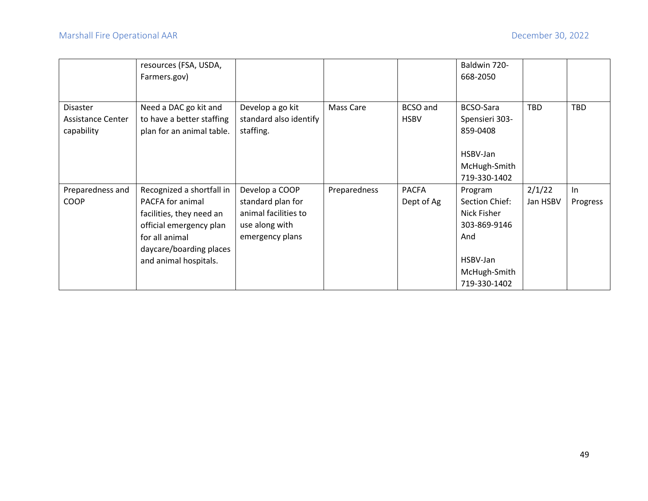|                                                    | resources (FSA, USDA,<br>Farmers.gov)                                                                                                                                      |                                                                                                  |              |                                | Baldwin 720-<br>668-2050                                                                                    |                    |                |
|----------------------------------------------------|----------------------------------------------------------------------------------------------------------------------------------------------------------------------------|--------------------------------------------------------------------------------------------------|--------------|--------------------------------|-------------------------------------------------------------------------------------------------------------|--------------------|----------------|
| <b>Disaster</b><br>Assistance Center<br>capability | Need a DAC go kit and<br>to have a better staffing<br>plan for an animal table.                                                                                            | Develop a go kit<br>standard also identify<br>staffing.                                          | Mass Care    | <b>BCSO</b> and<br><b>HSBV</b> | <b>BCSO-Sara</b><br>Spensieri 303-<br>859-0408<br>HSBV-Jan<br>McHugh-Smith<br>719-330-1402                  | <b>TBD</b>         | <b>TBD</b>     |
| Preparedness and<br><b>COOP</b>                    | Recognized a shortfall in<br>PACFA for animal<br>facilities, they need an<br>official emergency plan<br>for all animal<br>daycare/boarding places<br>and animal hospitals. | Develop a COOP<br>standard plan for<br>animal facilities to<br>use along with<br>emergency plans | Preparedness | <b>PACFA</b><br>Dept of Ag     | Program<br>Section Chief:<br>Nick Fisher<br>303-869-9146<br>And<br>HSBV-Jan<br>McHugh-Smith<br>719-330-1402 | 2/1/22<br>Jan HSBV | ln<br>Progress |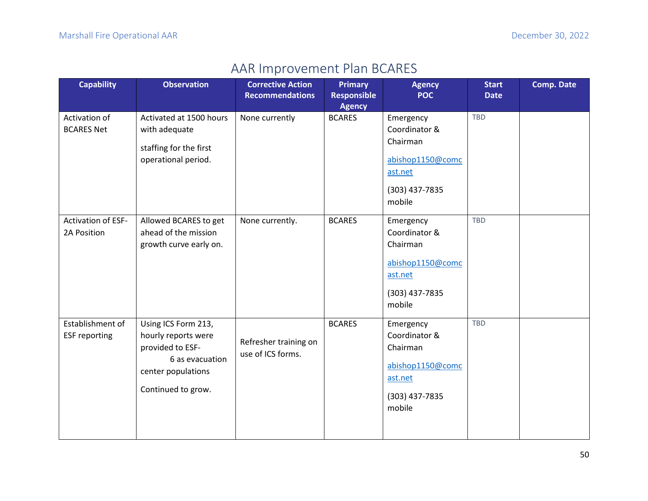## AAR Improvement Plan BCARES

<span id="page-50-0"></span>

| <b>Capability</b>                        | <b>Observation</b>                                                                                                            | <b>Corrective Action</b><br><b>Recommendations</b> | <b>Primary</b><br><b>Responsible</b><br><b>Agency</b> | <b>Agency</b><br><b>POC</b>                                                                       | <b>Start</b><br><b>Date</b> | <b>Comp. Date</b> |
|------------------------------------------|-------------------------------------------------------------------------------------------------------------------------------|----------------------------------------------------|-------------------------------------------------------|---------------------------------------------------------------------------------------------------|-----------------------------|-------------------|
| Activation of<br><b>BCARES Net</b>       | Activated at 1500 hours<br>with adequate<br>staffing for the first<br>operational period.                                     | None currently                                     | <b>BCARES</b>                                         | Emergency<br>Coordinator &<br>Chairman<br>abishop1150@comc<br>ast.net<br>(303) 437-7835<br>mobile | <b>TBD</b>                  |                   |
| <b>Activation of ESF-</b><br>2A Position | Allowed BCARES to get<br>ahead of the mission<br>growth curve early on.                                                       | None currently.                                    | <b>BCARES</b>                                         | Emergency<br>Coordinator &<br>Chairman<br>abishop1150@comc<br>ast.net<br>(303) 437-7835<br>mobile | <b>TBD</b>                  |                   |
| Establishment of<br><b>ESF reporting</b> | Using ICS Form 213,<br>hourly reports were<br>provided to ESF-<br>6 as evacuation<br>center populations<br>Continued to grow. | Refresher training on<br>use of ICS forms.         | <b>BCARES</b>                                         | Emergency<br>Coordinator &<br>Chairman<br>abishop1150@comc<br>ast.net<br>(303) 437-7835<br>mobile | <b>TBD</b>                  |                   |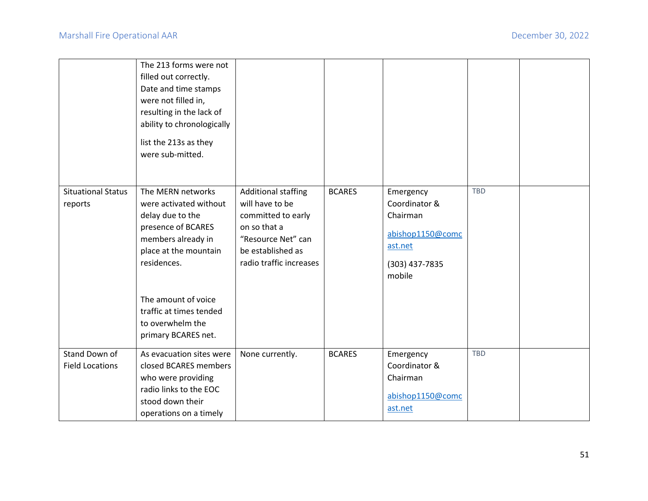|                                         | The 213 forms were not<br>filled out correctly.<br>Date and time stamps<br>were not filled in,<br>resulting in the lack of<br>ability to chronologically<br>list the 213s as they<br>were sub-mitted.                                            |                                                                                                                                                           |               |                                                                                                   |            |  |
|-----------------------------------------|--------------------------------------------------------------------------------------------------------------------------------------------------------------------------------------------------------------------------------------------------|-----------------------------------------------------------------------------------------------------------------------------------------------------------|---------------|---------------------------------------------------------------------------------------------------|------------|--|
| <b>Situational Status</b><br>reports    | The MERN networks<br>were activated without<br>delay due to the<br>presence of BCARES<br>members already in<br>place at the mountain<br>residences.<br>The amount of voice<br>traffic at times tended<br>to overwhelm the<br>primary BCARES net. | <b>Additional staffing</b><br>will have to be<br>committed to early<br>on so that a<br>"Resource Net" can<br>be established as<br>radio traffic increases | <b>BCARES</b> | Emergency<br>Coordinator &<br>Chairman<br>abishop1150@comc<br>ast.net<br>(303) 437-7835<br>mobile | <b>TBD</b> |  |
| Stand Down of<br><b>Field Locations</b> | As evacuation sites were<br>closed BCARES members<br>who were providing<br>radio links to the EOC<br>stood down their<br>operations on a timely                                                                                                  | None currently.                                                                                                                                           | <b>BCARES</b> | Emergency<br>Coordinator &<br>Chairman<br>abishop1150@comc<br>ast.net                             | TBD        |  |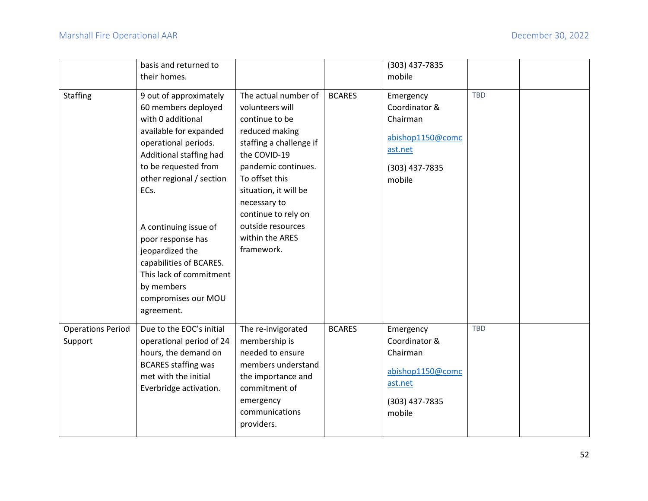|                                     | basis and returned to                                                                                                                                                                                                                                                                                                                                                                 |                                                                                                                                                                                                                                                                                       |               | (303) 437-7835                                                                                    |            |  |
|-------------------------------------|---------------------------------------------------------------------------------------------------------------------------------------------------------------------------------------------------------------------------------------------------------------------------------------------------------------------------------------------------------------------------------------|---------------------------------------------------------------------------------------------------------------------------------------------------------------------------------------------------------------------------------------------------------------------------------------|---------------|---------------------------------------------------------------------------------------------------|------------|--|
|                                     | their homes.                                                                                                                                                                                                                                                                                                                                                                          |                                                                                                                                                                                                                                                                                       |               | mobile                                                                                            |            |  |
| <b>Staffing</b>                     | 9 out of approximately<br>60 members deployed<br>with 0 additional<br>available for expanded<br>operational periods.<br>Additional staffing had<br>to be requested from<br>other regional / section<br>ECs.<br>A continuing issue of<br>poor response has<br>jeopardized the<br>capabilities of BCARES.<br>This lack of commitment<br>by members<br>compromises our MOU<br>agreement. | The actual number of<br>volunteers will<br>continue to be<br>reduced making<br>staffing a challenge if<br>the COVID-19<br>pandemic continues.<br>To offset this<br>situation, it will be<br>necessary to<br>continue to rely on<br>outside resources<br>within the ARES<br>framework. | <b>BCARES</b> | Emergency<br>Coordinator &<br>Chairman<br>abishop1150@comc<br>ast.net<br>(303) 437-7835<br>mobile | <b>TBD</b> |  |
| <b>Operations Period</b><br>Support | Due to the EOC's initial<br>operational period of 24<br>hours, the demand on<br><b>BCARES staffing was</b><br>met with the initial<br>Everbridge activation.                                                                                                                                                                                                                          | The re-invigorated<br>membership is<br>needed to ensure<br>members understand<br>the importance and<br>commitment of<br>emergency<br>communications<br>providers.                                                                                                                     | <b>BCARES</b> | Emergency<br>Coordinator &<br>Chairman<br>abishop1150@comc<br>ast.net<br>(303) 437-7835<br>mobile | <b>TBD</b> |  |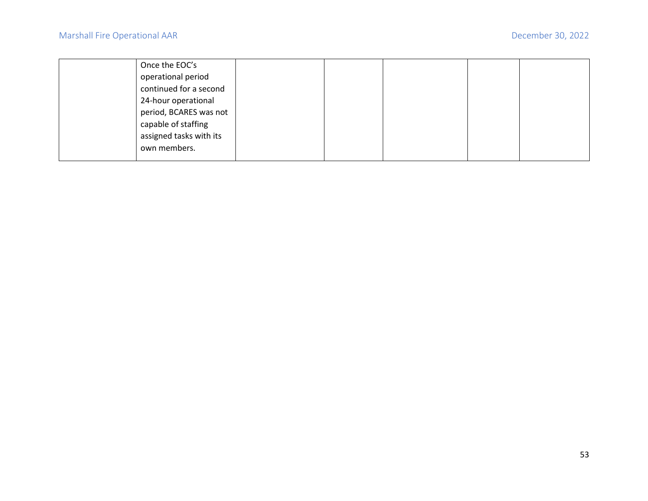| Once the EOC's          |  |  |  |
|-------------------------|--|--|--|
| operational period      |  |  |  |
| continued for a second  |  |  |  |
| 24-hour operational     |  |  |  |
| period, BCARES was not  |  |  |  |
| capable of staffing     |  |  |  |
| assigned tasks with its |  |  |  |
| own members.            |  |  |  |
|                         |  |  |  |